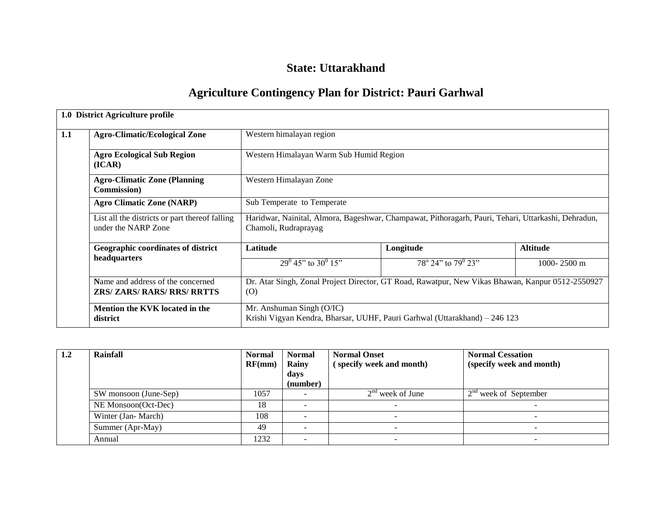# **State: Uttarakhand**

# **Agriculture Contingency Plan for District: Pauri Garhwal**

|     | 1.0 District Agriculture profile                                        |                                                                                                                             |                                      |                 |  |  |  |  |
|-----|-------------------------------------------------------------------------|-----------------------------------------------------------------------------------------------------------------------------|--------------------------------------|-----------------|--|--|--|--|
| 1.1 | <b>Agro-Climatic/Ecological Zone</b>                                    | Western himalayan region                                                                                                    |                                      |                 |  |  |  |  |
|     | <b>Agro Ecological Sub Region</b><br>(ICAR)                             | Western Himalayan Warm Sub Humid Region                                                                                     |                                      |                 |  |  |  |  |
|     | <b>Agro-Climatic Zone (Planning</b><br><b>Commission</b> )              | Western Himalayan Zone                                                                                                      |                                      |                 |  |  |  |  |
|     | <b>Agro Climatic Zone (NARP)</b>                                        | Sub Temperate to Temperate                                                                                                  |                                      |                 |  |  |  |  |
|     | List all the districts or part thereof falling<br>under the NARP Zone   | Haridwar, Nainital, Almora, Bageshwar, Champawat, Pithoragarh, Pauri, Tehari, Uttarkashi, Dehradun,<br>Chamoli, Rudraprayag |                                      |                 |  |  |  |  |
|     | Geographic coordinates of district                                      | Latitude                                                                                                                    | Longitude                            | <b>Altitude</b> |  |  |  |  |
|     | headquarters                                                            | $29^0$ 45" to 30 <sup>0</sup> 15"                                                                                           | $78^{\circ}$ 24" to $79^{\circ}$ 23" | 1000-2500 m     |  |  |  |  |
|     | Name and address of the concerned<br><b>ZRS/ ZARS/ RARS/ RRS/ RRTTS</b> | Dr. Atar Singh, Zonal Project Director, GT Road, Rawatpur, New Vikas Bhawan, Kanpur 0512-2550927<br>(0)                     |                                      |                 |  |  |  |  |
|     | Mention the KVK located in the<br>district                              | Mr. Anshuman Singh (O/IC)<br>Krishi Vigyan Kendra, Bharsar, UUHF, Pauri Garhwal (Uttarakhand) – 246 123                     |                                      |                 |  |  |  |  |

| 1.2 | Rainfall              | <b>Normal</b> | <b>Normal</b> | <b>Normal Onset</b>      | <b>Normal Cessation</b>  |
|-----|-----------------------|---------------|---------------|--------------------------|--------------------------|
|     |                       | RF(mm)        | Rainy         | (specify week and month) | (specify week and month) |
|     |                       |               | days          |                          |                          |
|     |                       |               | (number)      |                          |                          |
|     | SW monsoon (June-Sep) | 1057          |               | $2nd$ week of June       | $2nd$ week of September  |
|     | NE Monsoon(Oct-Dec)   | 18            |               |                          |                          |
|     | Winter (Jan-March)    | 108           |               |                          |                          |
|     | Summer (Apr-May)      | 49            |               | $\overline{\phantom{a}}$ |                          |
|     | Annual                | 1232          |               |                          |                          |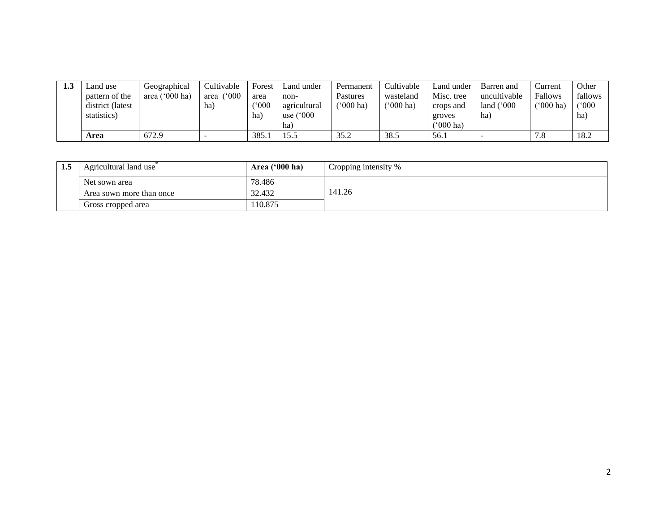| 1.W | Land use          | Geographical        | Cultivable            | Forest               | Land under         | Permanent                | Cultivable | Land under          | Barren and          | Current                | Other   |
|-----|-------------------|---------------------|-----------------------|----------------------|--------------------|--------------------------|------------|---------------------|---------------------|------------------------|---------|
|     | pattern of the    | ('000 ha)<br>area ( | $^{\circ}000$<br>area | area                 | non-               | Pastures                 | wasteland  | Misc. tree          | uncultivable        | Fallows                | fallows |
|     | district (latest) |                     | ha.                   | $^{\prime\prime}000$ | agricultural       | $^{\prime\prime}000$ ha) | ('000 ha)  | crops and           | land $(^{\circ}000$ | $(^{6}000 \text{ ha})$ | (100)   |
|     | statistics)       |                     |                       | ha)                  | use $(^{\circ}000$ |                          |            | groves              | ha)                 |                        | ha)     |
|     |                   |                     |                       |                      | ha)                |                          |            | $^{\prime}$ 000 ha) |                     |                        |         |
|     | Area              | 672.9               |                       | 385.1                | 15.5               | 35.2                     | 38.5       | 56.1                |                     | 7 Q<br>7.0             | 18.2    |

| 1.3 | Agricultural land use    | Area $('000 ha)$ | Cropping intensity % |
|-----|--------------------------|------------------|----------------------|
|     | Net sown area            | 78.486           |                      |
|     | Area sown more than once | 32.432           | 141.26               |
|     | Gross cropped area       | 10.875           |                      |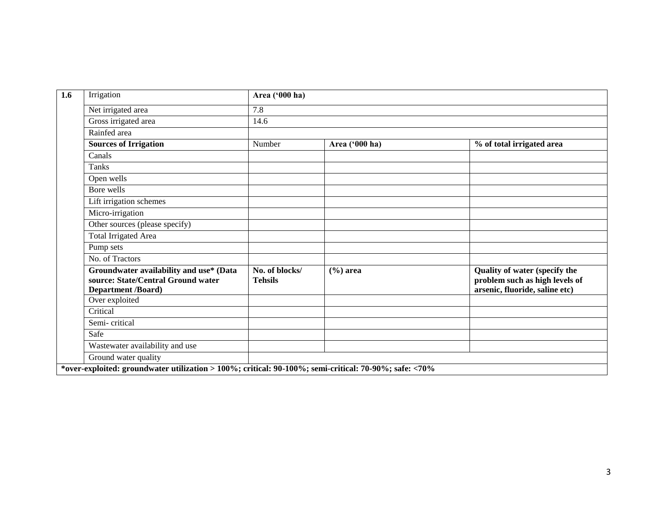| Irrigation                                                                                                 | Area ('000 ha)                   |                |                                                                                                   |
|------------------------------------------------------------------------------------------------------------|----------------------------------|----------------|---------------------------------------------------------------------------------------------------|
| Net irrigated area                                                                                         | 7.8                              |                |                                                                                                   |
| Gross irrigated area                                                                                       | 14.6                             |                |                                                                                                   |
| Rainfed area                                                                                               |                                  |                |                                                                                                   |
| <b>Sources of Irrigation</b>                                                                               | Number                           | Area ('000 ha) | % of total irrigated area                                                                         |
| Canals                                                                                                     |                                  |                |                                                                                                   |
| Tanks                                                                                                      |                                  |                |                                                                                                   |
| Open wells                                                                                                 |                                  |                |                                                                                                   |
| Bore wells                                                                                                 |                                  |                |                                                                                                   |
| Lift irrigation schemes                                                                                    |                                  |                |                                                                                                   |
| Micro-irrigation                                                                                           |                                  |                |                                                                                                   |
| Other sources (please specify)                                                                             |                                  |                |                                                                                                   |
| <b>Total Irrigated Area</b>                                                                                |                                  |                |                                                                                                   |
| Pump sets                                                                                                  |                                  |                |                                                                                                   |
| No. of Tractors                                                                                            |                                  |                |                                                                                                   |
| Groundwater availability and use* (Data<br>source: State/Central Ground water<br><b>Department /Board)</b> | No. of blocks/<br><b>Tehsils</b> | $(\% )$ area   | Quality of water (specify the<br>problem such as high levels of<br>arsenic, fluoride, saline etc) |
| Over exploited                                                                                             |                                  |                |                                                                                                   |
| Critical                                                                                                   |                                  |                |                                                                                                   |
| Semi-critical                                                                                              |                                  |                |                                                                                                   |
| Safe                                                                                                       |                                  |                |                                                                                                   |
| Wastewater availability and use                                                                            |                                  |                |                                                                                                   |
| Ground water quality                                                                                       |                                  |                |                                                                                                   |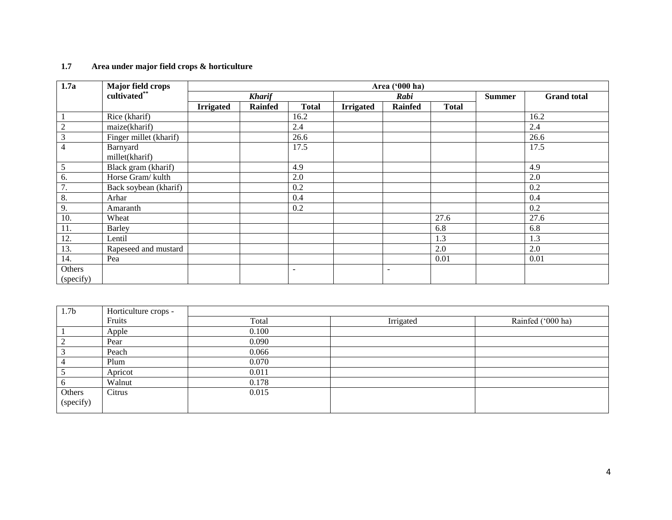#### **1.7 Area under major field crops & horticulture**

| 1.7a             | Major field crops      | Area ('000 ha)   |                |              |                  |                |              |               |                    |
|------------------|------------------------|------------------|----------------|--------------|------------------|----------------|--------------|---------------|--------------------|
|                  | cultivated**           |                  | <b>Kharif</b>  |              |                  | Rabi           |              | <b>Summer</b> | <b>Grand</b> total |
|                  |                        | <b>Irrigated</b> | <b>Rainfed</b> | <b>Total</b> | <b>Irrigated</b> | <b>Rainfed</b> | <b>Total</b> |               |                    |
|                  | Rice (kharif)          |                  |                | 16.2         |                  |                |              |               | 16.2               |
| $\sqrt{2}$       | maize(kharif)          |                  |                | 2.4          |                  |                |              |               | 2.4                |
| $\mathfrak{Z}$   | Finger millet (kharif) |                  |                | 26.6         |                  |                |              |               | 26.6               |
| 4                | Barnyard               |                  |                | 17.5         |                  |                |              |               | 17.5               |
|                  | millet(kharif)         |                  |                |              |                  |                |              |               |                    |
| 5                | Black gram (kharif)    |                  |                | 4.9          |                  |                |              |               | 4.9                |
| 6.               | Horse Gram/kulth       |                  |                | 2.0          |                  |                |              |               | 2.0                |
| $\overline{7}$ . | Back soybean (kharif)  |                  |                | 0.2          |                  |                |              |               | 0.2                |
| 8.               | Arhar                  |                  |                | 0.4          |                  |                |              |               | 0.4                |
| 9.               | Amaranth               |                  |                | 0.2          |                  |                |              |               | 0.2                |
| 10.              | Wheat                  |                  |                |              |                  |                | 27.6         |               | 27.6               |
| 11.              | <b>Barley</b>          |                  |                |              |                  |                | 6.8          |               | 6.8                |
| 12.              | Lentil                 |                  |                |              |                  |                | 1.3          |               | 1.3                |
| 13.              | Rapeseed and mustard   |                  |                |              |                  |                | 2.0          |               | 2.0                |
| 14.              | Pea                    |                  |                |              |                  |                | 0.01         |               | 0.01               |
| Others           |                        |                  |                |              |                  |                |              |               |                    |
| (specify)        |                        |                  |                |              |                  |                |              |               |                    |

| 1.7 <sub>b</sub> | Horticulture crops - |       |           |                   |
|------------------|----------------------|-------|-----------|-------------------|
|                  | Fruits               | Total | Irrigated | Rainfed ('000 ha) |
|                  | Apple                | 0.100 |           |                   |
| $\gamma$<br>∠    | Pear                 | 0.090 |           |                   |
| D                | Peach                | 0.066 |           |                   |
| 4                | Plum                 | 0.070 |           |                   |
| $\mathcal{L}$    | Apricot              | 0.011 |           |                   |
| 6                | Walnut               | 0.178 |           |                   |
| Others           | Citrus               | 0.015 |           |                   |
| (specify)        |                      |       |           |                   |
|                  |                      |       |           |                   |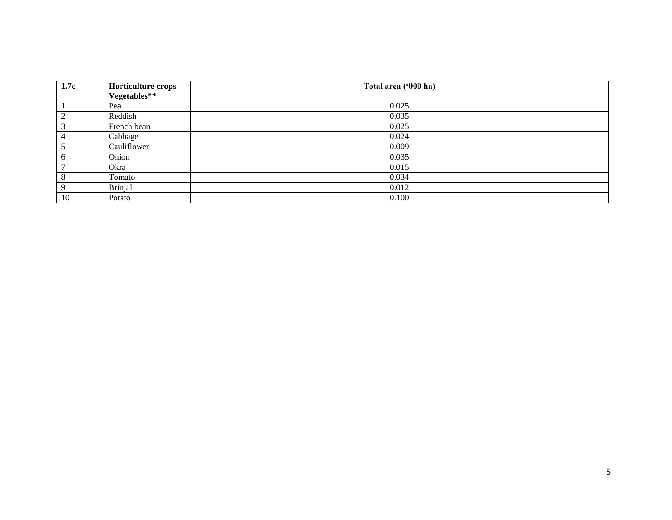| 1.7c             |                                      | Total area ('000 ha) |  |
|------------------|--------------------------------------|----------------------|--|
|                  | Horticulture crops –<br>Vegetables** |                      |  |
|                  | Pea                                  | 0.025                |  |
| $\boldsymbol{2}$ | Reddish                              | 0.035                |  |
| $\mathfrak{Z}$   | French bean                          | 0.025                |  |
| $\overline{4}$   | Cabbage                              | 0.024                |  |
| 5                | Cauliflower                          | 0.009                |  |
| 6                | Onion                                | 0.035                |  |
| $\overline{7}$   | Okra                                 | 0.015                |  |
| $8\,$            | Tomato                               | 0.034                |  |
| 9                | <b>Brinjal</b>                       | 0.012                |  |
| 10               | Potato                               | 0.100                |  |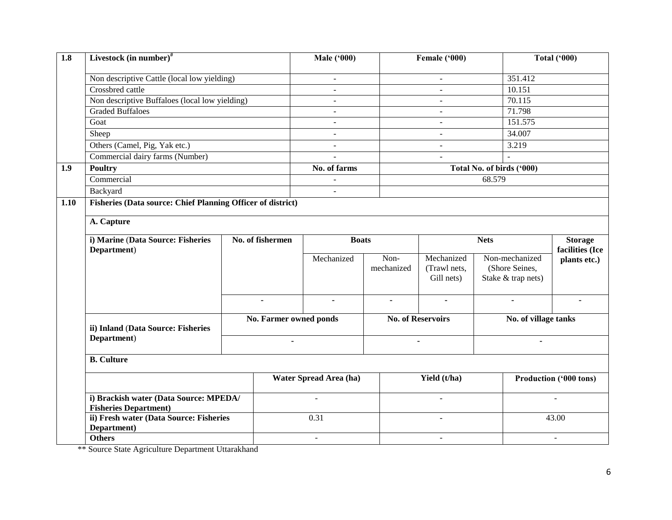| $\overline{1.8}$ | Livestock (in number) $*$                                              |                  |                        | <b>Male ('000)</b>     |                    | Female ('000)                            |        | <b>Total ('000)</b>                                    |                                   |  |  |
|------------------|------------------------------------------------------------------------|------------------|------------------------|------------------------|--------------------|------------------------------------------|--------|--------------------------------------------------------|-----------------------------------|--|--|
|                  | Non descriptive Cattle (local low yielding)                            |                  |                        | $\omega$               |                    | $\blacksquare$                           |        | 351.412                                                |                                   |  |  |
|                  | Crossbred cattle                                                       |                  |                        | $\blacksquare$         |                    | $\blacksquare$                           |        | 10.151                                                 |                                   |  |  |
|                  | Non descriptive Buffaloes (local low yielding)                         |                  |                        | $\blacksquare$         |                    | $\blacksquare$                           |        | 70.115                                                 |                                   |  |  |
|                  | <b>Graded Buffaloes</b>                                                |                  |                        | $\sim$                 |                    | $\sim$                                   |        | 71.798                                                 |                                   |  |  |
|                  | Goat                                                                   |                  |                        | $\sim$                 |                    | $\blacksquare$                           |        | 151.575                                                |                                   |  |  |
|                  | Sheep                                                                  |                  | $\sim$                 |                        |                    | $\sim$                                   |        | 34.007                                                 |                                   |  |  |
|                  | Others (Camel, Pig, Yak etc.)                                          |                  |                        | $\sim$                 |                    | $\mathbf{r}$                             |        | 3.219                                                  |                                   |  |  |
|                  | Commercial dairy farms (Number)                                        |                  |                        |                        |                    |                                          |        | $\mathbb{L}$                                           |                                   |  |  |
| 1.9              | <b>Poultry</b>                                                         |                  |                        | No. of farms           |                    |                                          |        | Total No. of birds ('000)                              |                                   |  |  |
|                  | Commercial                                                             |                  |                        | $\sim$                 |                    |                                          | 68.579 |                                                        |                                   |  |  |
|                  | Backyard                                                               |                  |                        | $\sim$                 |                    |                                          |        |                                                        |                                   |  |  |
| 1.10             | Fisheries (Data source: Chief Planning Officer of district)            |                  |                        |                        |                    |                                          |        |                                                        |                                   |  |  |
|                  | A. Capture                                                             |                  |                        |                        |                    |                                          |        |                                                        |                                   |  |  |
|                  | i) Marine (Data Source: Fisheries<br>Department)                       | No. of fishermen |                        | <b>Boats</b>           |                    | <b>Nets</b>                              |        |                                                        | <b>Storage</b><br>facilities (Ice |  |  |
|                  |                                                                        |                  |                        | Mechanized             | Non-<br>mechanized | Mechanized<br>(Trawl nets,<br>Gill nets) |        | Non-mechanized<br>(Shore Seines,<br>Stake & trap nets) | plants etc.)                      |  |  |
|                  |                                                                        | $\blacksquare$   |                        | $\blacksquare$         | $\blacksquare$     | $\blacksquare$                           |        | $\blacksquare$                                         | $\blacksquare$                    |  |  |
|                  | ii) Inland (Data Source: Fisheries<br>Department)                      |                  | No. Farmer owned ponds |                        |                    | <b>No. of Reservoirs</b>                 |        | No. of village tanks                                   |                                   |  |  |
|                  |                                                                        |                  |                        |                        |                    |                                          |        |                                                        |                                   |  |  |
|                  | <b>B.</b> Culture                                                      |                  |                        |                        |                    |                                          |        |                                                        |                                   |  |  |
|                  |                                                                        |                  |                        | Water Spread Area (ha) |                    | Yield (t/ha)                             |        |                                                        | Production ('000 tons)            |  |  |
|                  | i) Brackish water (Data Source: MPEDA/<br><b>Fisheries Department)</b> |                  | $\sim$                 |                        |                    |                                          |        |                                                        |                                   |  |  |
|                  | ii) Fresh water (Data Source: Fisheries<br>Department)                 |                  |                        | 0.31                   |                    | $\equiv$                                 |        | 43.00                                                  |                                   |  |  |
|                  | <b>Others</b>                                                          |                  |                        | $\blacksquare$         |                    | $\blacksquare$                           |        | $\overline{\phantom{a}}$                               |                                   |  |  |

\*\* Source State Agriculture Department Uttarakhand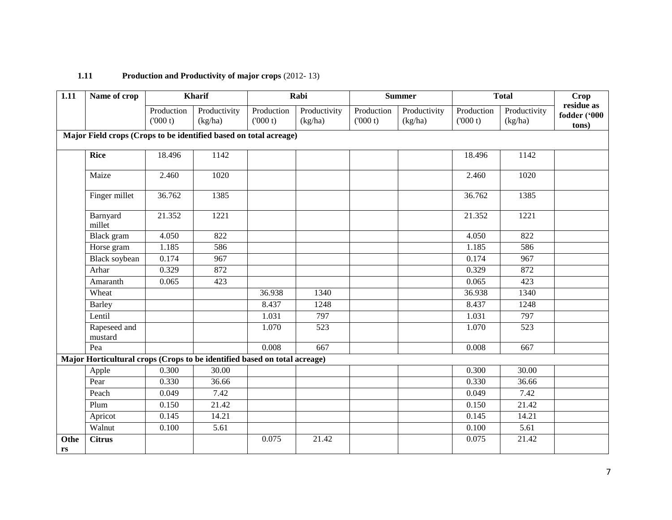| $\overline{1.11}$ | Name of crop                                                              |                       | <b>Kharif</b>           |                       | Rabi                    |                       | <b>Summer</b>           |                       | <b>Total</b>            | <b>Crop</b>                         |
|-------------------|---------------------------------------------------------------------------|-----------------------|-------------------------|-----------------------|-------------------------|-----------------------|-------------------------|-----------------------|-------------------------|-------------------------------------|
|                   |                                                                           | Production<br>(000 t) | Productivity<br>(kg/ha) | Production<br>(000 t) | Productivity<br>(kg/ha) | Production<br>(000 t) | Productivity<br>(kg/ha) | Production<br>(000 t) | Productivity<br>(kg/ha) | residue as<br>fodder ('000<br>tons) |
|                   | Major Field crops (Crops to be identified based on total acreage)         |                       |                         |                       |                         |                       |                         |                       |                         |                                     |
|                   | <b>Rice</b>                                                               | 18.496                | 1142                    |                       |                         |                       |                         | 18.496                | 1142                    |                                     |
|                   | Maize                                                                     | 2.460                 | 1020                    |                       |                         |                       |                         | 2.460                 | 1020                    |                                     |
|                   | Finger millet                                                             | 36.762                | 1385                    |                       |                         |                       |                         | 36.762                | 1385                    |                                     |
|                   | Barnyard<br>millet                                                        | 21.352                | 1221                    |                       |                         |                       |                         | 21.352                | 1221                    |                                     |
|                   | Black gram                                                                | 4.050                 | 822                     |                       |                         |                       |                         | 4.050                 | 822                     |                                     |
|                   | Horse gram                                                                | 1.185                 | 586                     |                       |                         |                       |                         | 1.185                 | 586                     |                                     |
|                   | <b>Black</b> soybean                                                      | 0.174                 | 967                     |                       |                         |                       |                         | 0.174                 | 967                     |                                     |
|                   | Arhar                                                                     | 0.329                 | 872                     |                       |                         |                       |                         | 0.329                 | 872                     |                                     |
|                   | Amaranth                                                                  | 0.065                 | 423                     |                       |                         |                       |                         | 0.065                 | 423                     |                                     |
|                   | Wheat                                                                     |                       |                         | 36.938                | 1340                    |                       |                         | 36.938                | 1340                    |                                     |
|                   | Barley                                                                    |                       |                         | 8.437                 | 1248                    |                       |                         | 8.437                 | 1248                    |                                     |
|                   | Lentil                                                                    |                       |                         | 1.031                 | 797                     |                       |                         | 1.031                 | 797                     |                                     |
|                   | Rapeseed and<br>mustard                                                   |                       |                         | 1.070                 | 523                     |                       |                         | 1.070                 | 523                     |                                     |
|                   | Pea                                                                       |                       |                         | 0.008                 | 667                     |                       |                         | 0.008                 | 667                     |                                     |
|                   | Major Horticultural crops (Crops to be identified based on total acreage) |                       |                         |                       |                         |                       |                         |                       |                         |                                     |
|                   | Apple                                                                     | 0.300                 | 30.00                   |                       |                         |                       |                         | 0.300                 | 30.00                   |                                     |
|                   | Pear                                                                      | 0.330                 | 36.66                   |                       |                         |                       |                         | 0.330                 | 36.66                   |                                     |
|                   | Peach                                                                     | 0.049                 | 7.42                    |                       |                         |                       |                         | 0.049                 | 7.42                    |                                     |
|                   | Plum                                                                      | 0.150                 | 21.42                   |                       |                         |                       |                         | 0.150                 | 21.42                   |                                     |
|                   | Apricot                                                                   | 0.145                 | 14.21                   |                       |                         |                       |                         | 0.145                 | 14.21                   |                                     |
|                   | Walnut                                                                    | 0.100                 | $\overline{5.61}$       |                       |                         |                       |                         | 0.100                 | $\overline{5.61}$       |                                     |
| Othe<br>rs        | <b>Citrus</b>                                                             |                       |                         | 0.075                 | 21.42                   |                       |                         | 0.075                 | 21.42                   |                                     |

#### **1.11 Production and Productivity of major crops** (2012- 13)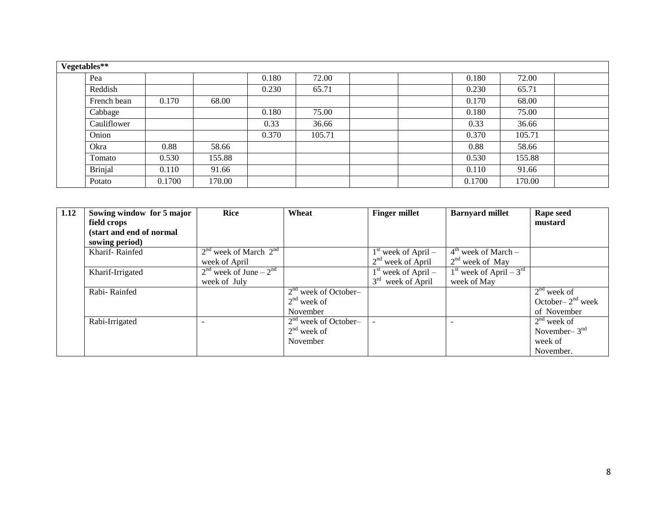| Vegetables**   |        |        |       |        |  |        |        |  |  |  |  |  |
|----------------|--------|--------|-------|--------|--|--------|--------|--|--|--|--|--|
| Pea            |        |        | 0.180 | 72.00  |  | 0.180  | 72.00  |  |  |  |  |  |
| Reddish        |        |        | 0.230 | 65.71  |  | 0.230  | 65.71  |  |  |  |  |  |
| French bean    | 0.170  | 68.00  |       |        |  | 0.170  | 68.00  |  |  |  |  |  |
| Cabbage        |        |        | 0.180 | 75.00  |  | 0.180  | 75.00  |  |  |  |  |  |
| Cauliflower    |        |        | 0.33  | 36.66  |  | 0.33   | 36.66  |  |  |  |  |  |
| Onion          |        |        | 0.370 | 105.71 |  | 0.370  | 105.71 |  |  |  |  |  |
| Okra           | 0.88   | 58.66  |       |        |  | 0.88   | 58.66  |  |  |  |  |  |
| Tomato         | 0.530  | 155.88 |       |        |  | 0.530  | 155.88 |  |  |  |  |  |
| <b>Brinjal</b> | 0.110  | 91.66  |       |        |  | 0.110  | 91.66  |  |  |  |  |  |
| Potato         | 0.1700 | 170.00 |       |        |  | 0.1700 | 170.00 |  |  |  |  |  |

| 1.12 | Sowing window for 5 major | <b>Rice</b>                | Wheat                  | <b>Finger millet</b>             | <b>Barnyard millet</b>      | Rape seed           |
|------|---------------------------|----------------------------|------------------------|----------------------------------|-----------------------------|---------------------|
|      | field crops               |                            |                        |                                  |                             | mustard             |
|      | (start and end of normal  |                            |                        |                                  |                             |                     |
|      | sowing period)            |                            |                        |                                  |                             |                     |
|      | Kharif-Rainfed            | $2nd$ week of March $2nd$  |                        | $1st$ week of April –            | $4th$ week of March –       |                     |
|      |                           | week of April              |                        | $2nd$ week of April              | $2nd$ week of May           |                     |
|      | Kharif-Irrigated          | $2nd$ week of June – $2nd$ |                        | $1st$ week of April –            | $1st$ week of April – $3rd$ |                     |
|      |                           | week of July               |                        | 3 <sup>rd</sup><br>week of April | week of May                 |                     |
|      | Rabi-Rainfed              |                            | $2nd$ week of October- |                                  |                             | $2nd$ week of       |
|      |                           |                            | $2nd$ week of          |                                  |                             | October- $2nd$ week |
|      |                           |                            | November               |                                  |                             | of November         |
|      | Rabi-Irrigated            |                            | $2nd$ week of October- |                                  |                             | $2nd$ week of       |
|      |                           |                            | $2nd$ week of          |                                  |                             | November- $3nd$     |
|      |                           |                            | November               |                                  |                             | week of             |
|      |                           |                            |                        |                                  |                             | November.           |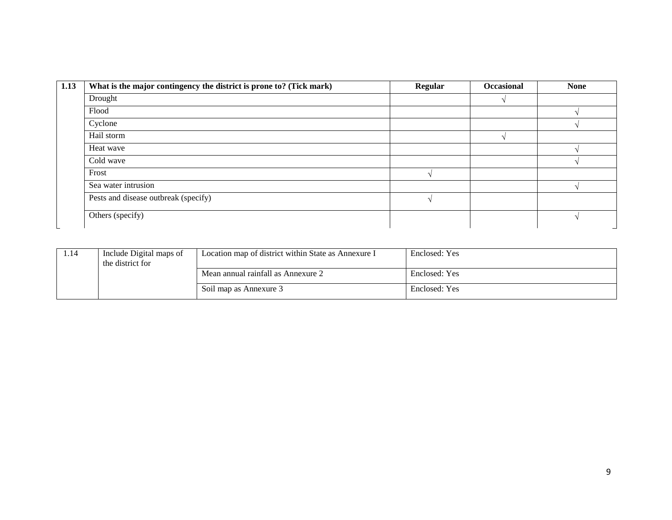| 1.13 | What is the major contingency the district is prone to? (Tick mark) | <b>Regular</b> | Occasional | <b>None</b> |
|------|---------------------------------------------------------------------|----------------|------------|-------------|
|      | Drought                                                             |                |            |             |
|      | Flood                                                               |                |            |             |
|      | Cyclone                                                             |                |            |             |
|      | Hail storm                                                          |                |            |             |
|      | Heat wave                                                           |                |            |             |
|      | Cold wave                                                           |                |            |             |
|      | Frost                                                               |                |            |             |
|      | Sea water intrusion                                                 |                |            |             |
|      | Pests and disease outbreak (specify)                                |                |            |             |
|      | Others (specify)                                                    |                |            |             |

| .14 | Include Digital maps of<br>the district for | Location map of district within State as Annexure I | Enclosed: Yes |
|-----|---------------------------------------------|-----------------------------------------------------|---------------|
|     |                                             | Mean annual rainfall as Annexure 2                  | Enclosed: Yes |
|     |                                             | Soil map as Annexure 3                              | Enclosed: Yes |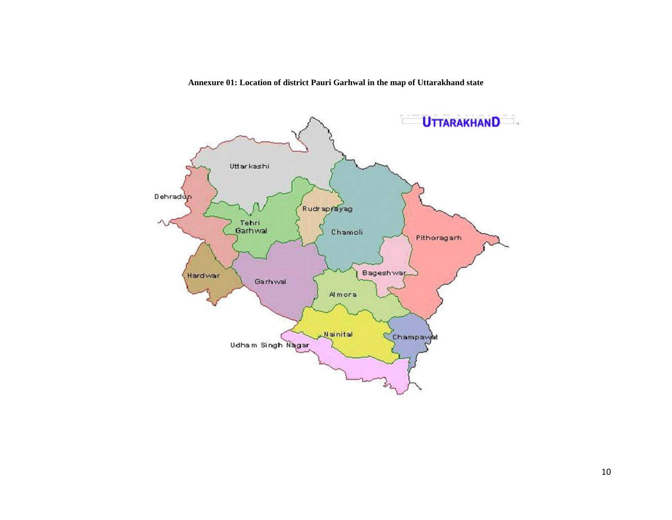**Annexure 01: Location of district Pauri Garhwal in the map of Uttarakhand state**

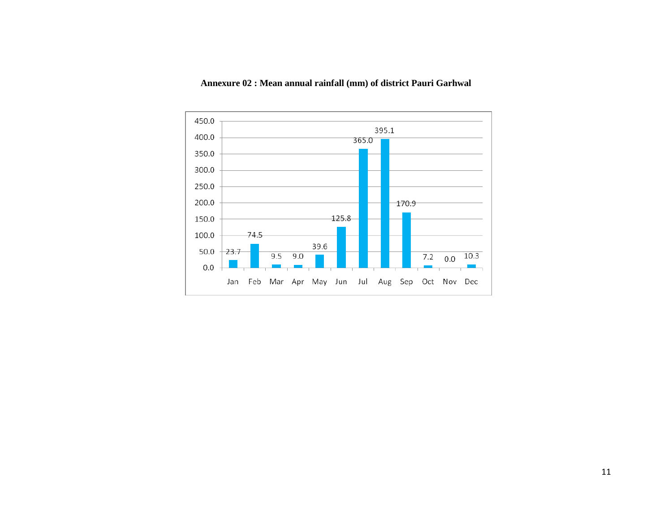

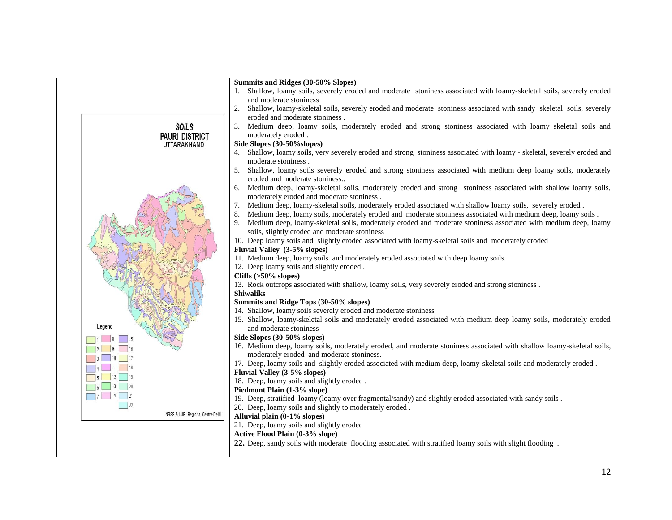|                                               | Summits and Ridges (30-50% Slopes)<br>1. Shallow, loamy soils, severely eroded and moderate stoniness associated with loamy-skeletal soils, severely eroded<br>and moderate stoniness<br>2. Shallow, loamy-skeletal soils, severely eroded and moderate stoniness associated with sandy skeletal soils, severely                                                                                                                                       |
|-----------------------------------------------|--------------------------------------------------------------------------------------------------------------------------------------------------------------------------------------------------------------------------------------------------------------------------------------------------------------------------------------------------------------------------------------------------------------------------------------------------------|
| <b>SOILS</b><br><b>PAURI DISTRICT</b>         | eroded and moderate stoniness.<br>3. Medium deep, loamy soils, moderately eroded and strong stoniness associated with loamy skeletal soils and<br>moderately eroded.                                                                                                                                                                                                                                                                                   |
| UTTARAKHAND                                   | Side Slopes (30-50%slopes)<br>4. Shallow, loamy soils, very severely eroded and strong stoniness associated with loamy - skeletal, severely eroded and<br>moderate stoniness.                                                                                                                                                                                                                                                                          |
|                                               | Shallow, loamy soils severely eroded and strong stoniness associated with medium deep loamy soils, moderately<br>5.<br>eroded and moderate stoniness<br>6. Medium deep, loamy-skeletal soils, moderately eroded and strong stoniness associated with shallow loamy soils,                                                                                                                                                                              |
|                                               | moderately eroded and moderate stoniness.<br>Medium deep, loamy-skeletal soils, moderately eroded associated with shallow loamy soils, severely eroded.<br>Medium deep, loamy soils, moderately eroded and moderate stoniness associated with medium deep, loamy soils.<br>8.<br>Medium deep, loamy-skeletal soils, moderately eroded and moderate stoniness associated with medium deep, loamy<br>9.<br>soils, slightly eroded and moderate stoniness |
|                                               | 10. Deep loamy soils and slightly eroded associated with loamy-skeletal soils and moderately eroded<br>Fluvial Valley (3-5% slopes)<br>11. Medium deep, loamy soils and moderately eroded associated with deep loamy soils.<br>12. Deep loamy soils and slightly eroded.                                                                                                                                                                               |
|                                               | Cliffs (>50% slopes)<br>13. Rock outcrops associated with shallow, loamy soils, very severely eroded and strong stoniness.<br><b>Shiwaliks</b><br>Summits and Ridge Tops (30-50% slopes)                                                                                                                                                                                                                                                               |
| Legend                                        | 14. Shallow, loamy soils severely eroded and moderate stoniness<br>15. Shallow, loamy-skeletal soils and moderately eroded associated with medium deep loamy soils, moderately eroded<br>and moderate stoniness                                                                                                                                                                                                                                        |
| 16<br>10<br> 17                               | Side Slopes (30-50% slopes)<br>16. Medium deep, loamy soils, moderately eroded, and moderate stoniness associated with shallow loamy-skeletal soils,<br>moderately eroded and moderate stoniness.                                                                                                                                                                                                                                                      |
|                                               | 17. Deep, loamy soils and slightly eroded associated with medium deep, loamy-skeletal soils and moderately eroded.<br>Fluvial Valley (3-5% slopes)<br>18. Deep, loamy soils and slightly eroded.<br>Piedmont Plain (1-3% slope)                                                                                                                                                                                                                        |
| 21<br>22<br>NBSS & LUP, Regional Centre Delhi | 19. Deep, stratified loamy (loamy over fragmental/sandy) and slightly eroded associated with sandy soils.<br>20. Deep, loamy soils and slightly to moderately eroded.<br>Alluvial plain (0-1% slopes)                                                                                                                                                                                                                                                  |
|                                               | 21. Deep, loamy soils and slightly eroded<br>Active Flood Plain (0-3% slope)<br>22. Deep, sandy soils with moderate flooding associated with stratified loamy soils with slight flooding.                                                                                                                                                                                                                                                              |
|                                               |                                                                                                                                                                                                                                                                                                                                                                                                                                                        |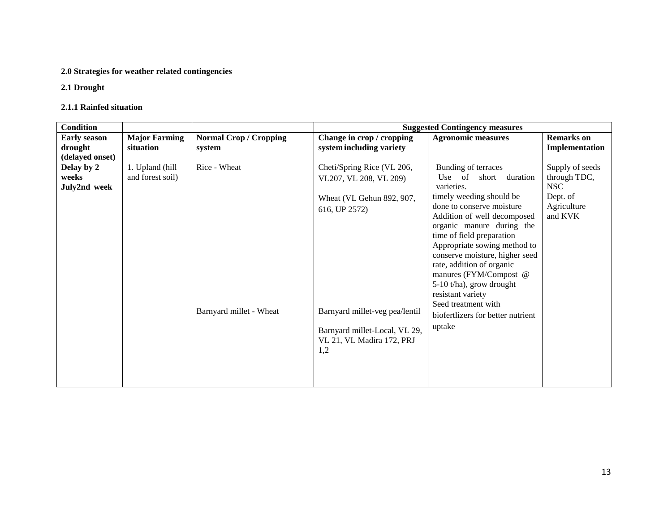#### **2.0 Strategies for weather related contingencies**

**2.1 Drought** 

#### **2.1.1 Rainfed situation**

| <b>Condition</b>                                  |                                     |                                         |                                                                                                                                                                                                           | <b>Suggested Contingency measures</b>                                                                                                                                                                                                                                                                                                                                                                                                                              |                                                                              |
|---------------------------------------------------|-------------------------------------|-----------------------------------------|-----------------------------------------------------------------------------------------------------------------------------------------------------------------------------------------------------------|--------------------------------------------------------------------------------------------------------------------------------------------------------------------------------------------------------------------------------------------------------------------------------------------------------------------------------------------------------------------------------------------------------------------------------------------------------------------|------------------------------------------------------------------------------|
| <b>Early season</b><br>drought<br>(delayed onset) | <b>Major Farming</b><br>situation   | <b>Normal Crop / Cropping</b><br>system | Change in crop / cropping<br>system including variety                                                                                                                                                     | <b>Agronomic measures</b>                                                                                                                                                                                                                                                                                                                                                                                                                                          | <b>Remarks</b> on<br>Implementation                                          |
| Delay by 2<br>weeks<br>July2nd week               | 1. Upland (hill<br>and forest soil) | Rice - Wheat<br>Barnyard millet - Wheat | Cheti/Spring Rice (VL 206,<br>VL207, VL 208, VL 209)<br>Wheat (VL Gehun 892, 907,<br>616, UP 2572)<br>Barnyard millet-veg pea/lentil<br>Barnyard millet-Local, VL 29,<br>VL 21, VL Madira 172, PRJ<br>1,2 | Bunding of terraces<br>Use of<br>short<br>duration<br>varieties.<br>timely weeding should be<br>done to conserve moisture<br>Addition of well decomposed<br>organic manure during the<br>time of field preparation<br>Appropriate sowing method to<br>conserve moisture, higher seed<br>rate, addition of organic<br>manures (FYM/Compost @<br>5-10 t/ha), grow drought<br>resistant variety<br>Seed treatment with<br>biofertlizers for better nutrient<br>uptake | Supply of seeds<br>through TDC,<br>NSC<br>Dept. of<br>Agriculture<br>and KVK |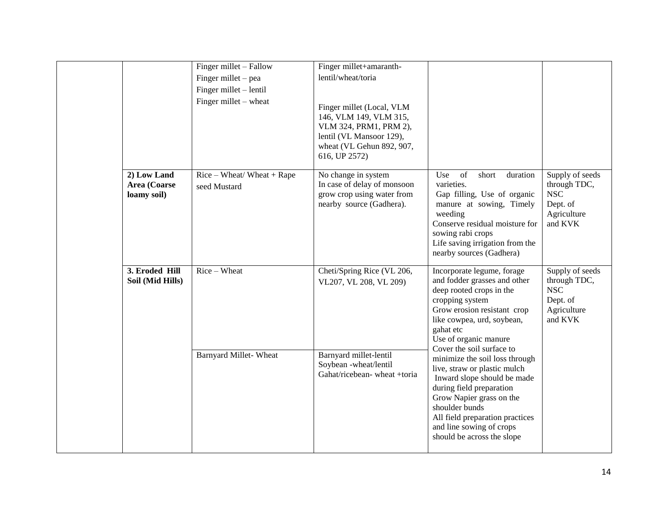|                                            | Finger millet – Fallow                        | Finger millet+amaranth-                                                                                                                                 |                                                                                                                                                                                                                                                                      |                                                                                       |
|--------------------------------------------|-----------------------------------------------|---------------------------------------------------------------------------------------------------------------------------------------------------------|----------------------------------------------------------------------------------------------------------------------------------------------------------------------------------------------------------------------------------------------------------------------|---------------------------------------------------------------------------------------|
|                                            | Finger millet - pea                           | lentil/wheat/toria                                                                                                                                      |                                                                                                                                                                                                                                                                      |                                                                                       |
|                                            | Finger millet - lentil                        |                                                                                                                                                         |                                                                                                                                                                                                                                                                      |                                                                                       |
|                                            | Finger millet - wheat                         | Finger millet (Local, VLM<br>146, VLM 149, VLM 315,<br>VLM 324, PRM1, PRM 2),<br>lentil (VL Mansoor 129),<br>wheat (VL Gehun 892, 907,<br>616, UP 2572) |                                                                                                                                                                                                                                                                      |                                                                                       |
| 2) Low Land<br>Area (Coarse<br>loamy soil) | $Rice - Wheat / Wheat + Rape$<br>seed Mustard | No change in system<br>In case of delay of monsoon<br>grow crop using water from<br>nearby source (Gadhera).                                            | of<br>Use<br>short<br>duration<br>varieties.<br>Gap filling, Use of organic<br>manure at sowing, Timely<br>weeding<br>Conserve residual moisture for<br>sowing rabi crops<br>Life saving irrigation from the<br>nearby sources (Gadhera)                             | Supply of seeds<br>through TDC,<br>$_{\rm NSC}$<br>Dept. of<br>Agriculture<br>and KVK |
| 3. Eroded Hill<br>Soil (Mid Hills)         | Rice - Wheat                                  | Cheti/Spring Rice (VL 206,<br>VL207, VL 208, VL 209)                                                                                                    | Incorporate legume, forage<br>and fodder grasses and other<br>deep rooted crops in the<br>cropping system<br>Grow erosion resistant crop<br>like cowpea, urd, soybean,<br>gahat etc<br>Use of organic manure<br>Cover the soil surface to                            | Supply of seeds<br>through TDC,<br><b>NSC</b><br>Dept. of<br>Agriculture<br>and KVK   |
|                                            | Barnyard Millet-Wheat                         | Barnyard millet-lentil<br>Soybean -wheat/lentil<br>Gahat/ricebean- wheat +toria                                                                         | minimize the soil loss through<br>live, straw or plastic mulch<br>Inward slope should be made<br>during field preparation<br>Grow Napier grass on the<br>shoulder bunds<br>All field preparation practices<br>and line sowing of crops<br>should be across the slope |                                                                                       |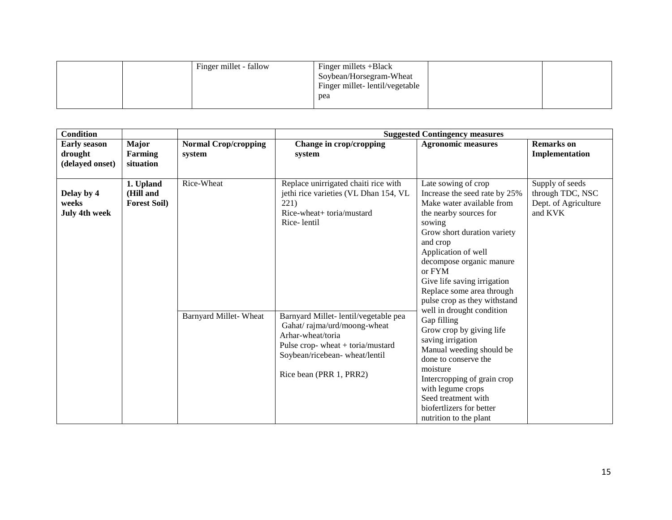| Finger millet - fallow | Finger millets +Black<br>Soybean/Horsegram-Wheat<br>Finger millet-lentil/vegetable<br>pea |  |
|------------------------|-------------------------------------------------------------------------------------------|--|
|                        |                                                                                           |  |

| <b>Condition</b>                            |                                               |                                       |                                                                                                                                                                                          | <b>Suggested Contingency measures</b>                                                                                                                                                                                                                         |                                                                        |
|---------------------------------------------|-----------------------------------------------|---------------------------------------|------------------------------------------------------------------------------------------------------------------------------------------------------------------------------------------|---------------------------------------------------------------------------------------------------------------------------------------------------------------------------------------------------------------------------------------------------------------|------------------------------------------------------------------------|
| <b>Early season</b><br>drought              | <b>Major</b><br>Farming                       | <b>Normal Crop/cropping</b><br>system | Change in crop/cropping<br>system                                                                                                                                                        | <b>Agronomic measures</b>                                                                                                                                                                                                                                     | <b>Remarks</b> on<br>Implementation                                    |
| (delayed onset)                             | situation                                     |                                       |                                                                                                                                                                                          |                                                                                                                                                                                                                                                               |                                                                        |
|                                             |                                               |                                       |                                                                                                                                                                                          |                                                                                                                                                                                                                                                               |                                                                        |
| Delay by 4<br>weeks<br><b>July 4th week</b> | 1. Upland<br>(Hill and<br><b>Forest Soil)</b> | Rice-Wheat                            | Replace unirrigated chaiti rice with<br>jethi rice varieties (VL Dhan 154, VL<br>221)<br>Rice-wheat+ toria/mustard<br>Rice-lentil                                                        | Late sowing of crop<br>Increase the seed rate by 25%<br>Make water available from<br>the nearby sources for<br>sowing<br>Grow short duration variety<br>and crop<br>Application of well<br>decompose organic manure                                           | Supply of seeds<br>through TDC, NSC<br>Dept. of Agriculture<br>and KVK |
|                                             |                                               |                                       |                                                                                                                                                                                          | or FYM<br>Give life saving irrigation<br>Replace some area through<br>pulse crop as they withstand<br>well in drought condition                                                                                                                               |                                                                        |
|                                             |                                               | <b>Barnyard Millet-Wheat</b>          | Barnyard Millet-lentil/vegetable pea<br>Gahat/rajma/urd/moong-wheat<br>Arhar-wheat/toria<br>Pulse crop-wheat + toria/mustard<br>Soybean/ricebean-wheat/lentil<br>Rice bean (PRR 1, PRR2) | Gap filling<br>Grow crop by giving life<br>saving irrigation<br>Manual weeding should be<br>done to conserve the<br>moisture<br>Intercropping of grain crop<br>with legume crops<br>Seed treatment with<br>biofertlizers for better<br>nutrition to the plant |                                                                        |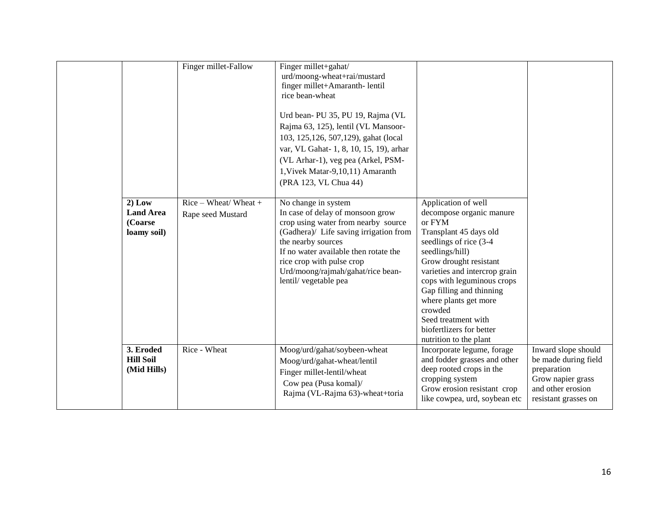|                                                        | Finger millet-Fallow                          | Finger millet+gahat/<br>urd/moong-wheat+rai/mustard<br>finger millet+Amaranth-lentil<br>rice bean-wheat<br>Urd bean-PU 35, PU 19, Rajma (VL                                                                                                                                                        |                                                                                                                                                                                                                                                                                                                                                                        |                                                                                                                              |
|--------------------------------------------------------|-----------------------------------------------|----------------------------------------------------------------------------------------------------------------------------------------------------------------------------------------------------------------------------------------------------------------------------------------------------|------------------------------------------------------------------------------------------------------------------------------------------------------------------------------------------------------------------------------------------------------------------------------------------------------------------------------------------------------------------------|------------------------------------------------------------------------------------------------------------------------------|
|                                                        |                                               | Rajma 63, 125), lentil (VL Mansoor-<br>103, 125, 126, 507, 129), gahat (local                                                                                                                                                                                                                      |                                                                                                                                                                                                                                                                                                                                                                        |                                                                                                                              |
|                                                        |                                               | var, VL Gahat- 1, 8, 10, 15, 19), arhar<br>(VL Arhar-1), veg pea (Arkel, PSM-<br>1, Vivek Matar-9, 10, 11) Amaranth                                                                                                                                                                                |                                                                                                                                                                                                                                                                                                                                                                        |                                                                                                                              |
|                                                        |                                               | (PRA 123, VL Chua 44)                                                                                                                                                                                                                                                                              |                                                                                                                                                                                                                                                                                                                                                                        |                                                                                                                              |
| $2)$ Low<br><b>Land Area</b><br>(Coarse<br>loamy soil) | $Rice - Wheat / Wheat +$<br>Rape seed Mustard | No change in system<br>In case of delay of monsoon grow<br>crop using water from nearby source<br>(Gadhera)/ Life saving irrigation from<br>the nearby sources<br>If no water available then rotate the<br>rice crop with pulse crop<br>Urd/moong/rajmah/gahat/rice bean-<br>lentil/ vegetable pea | Application of well<br>decompose organic manure<br>or FYM<br>Transplant 45 days old<br>seedlings of rice (3-4<br>seedlings/hill)<br>Grow drought resistant<br>varieties and intercrop grain<br>cops with leguminous crops<br>Gap filling and thinning<br>where plants get more<br>crowded<br>Seed treatment with<br>biofertlizers for better<br>nutrition to the plant |                                                                                                                              |
| 3. Eroded<br><b>Hill Soil</b><br>(Mid Hills)           | Rice - Wheat                                  | Moog/urd/gahat/soybeen-wheat<br>Moog/urd/gahat-wheat/lentil<br>Finger millet-lentil/wheat<br>Cow pea (Pusa komal)/<br>Rajma (VL-Rajma 63)-wheat+toria                                                                                                                                              | Incorporate legume, forage<br>and fodder grasses and other<br>deep rooted crops in the<br>cropping system<br>Grow erosion resistant crop<br>like cowpea, urd, soybean etc                                                                                                                                                                                              | Inward slope should<br>be made during field<br>preparation<br>Grow napier grass<br>and other erosion<br>resistant grasses on |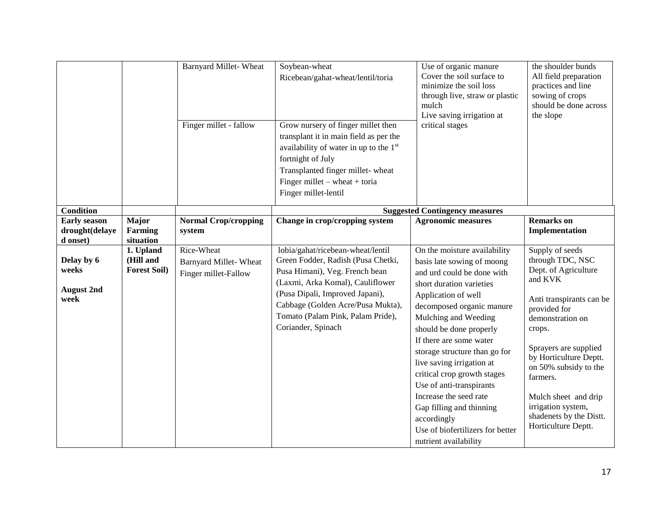|                                                   |                                               | Barnyard Millet-Wheat<br>Finger millet - fallow             | Soybean-wheat<br>Ricebean/gahat-wheat/lentil/toria<br>Grow nursery of finger millet then<br>transplant it in main field as per the<br>availability of water in up to the $1st$<br>fortnight of July<br>Transplanted finger millet-wheat<br>Finger millet $-$ wheat $+$ toria<br>Finger millet-lentil | Use of organic manure<br>Cover the soil surface to<br>minimize the soil loss<br>through live, straw or plastic<br>mulch<br>Live saving irrigation at<br>critical stages                                                                                                                                                                                                                                                                                                                                           | the shoulder bunds<br>All field preparation<br>practices and line<br>sowing of crops<br>should be done across<br>the slope                                                                                                                                                                                                               |
|---------------------------------------------------|-----------------------------------------------|-------------------------------------------------------------|------------------------------------------------------------------------------------------------------------------------------------------------------------------------------------------------------------------------------------------------------------------------------------------------------|-------------------------------------------------------------------------------------------------------------------------------------------------------------------------------------------------------------------------------------------------------------------------------------------------------------------------------------------------------------------------------------------------------------------------------------------------------------------------------------------------------------------|------------------------------------------------------------------------------------------------------------------------------------------------------------------------------------------------------------------------------------------------------------------------------------------------------------------------------------------|
| <b>Condition</b>                                  |                                               |                                                             |                                                                                                                                                                                                                                                                                                      | <b>Suggested Contingency measures</b>                                                                                                                                                                                                                                                                                                                                                                                                                                                                             |                                                                                                                                                                                                                                                                                                                                          |
| <b>Early season</b><br>drought(delaye<br>d onset) | Major<br><b>Farming</b><br>situation          | <b>Normal Crop/cropping</b><br>system                       | Change in crop/cropping system                                                                                                                                                                                                                                                                       | <b>Agronomic measures</b>                                                                                                                                                                                                                                                                                                                                                                                                                                                                                         | <b>Remarks</b> on<br>Implementation                                                                                                                                                                                                                                                                                                      |
| Delay by 6<br>weeks<br><b>August 2nd</b><br>week  | 1. Upland<br>(Hill and<br><b>Forest Soil)</b> | Rice-Wheat<br>Barnyard Millet-Wheat<br>Finger millet-Fallow | lobia/gahat/ricebean-wheat/lentil<br>Green Fodder, Radish (Pusa Chetki,<br>Pusa Himani), Veg. French bean<br>(Laxmi, Arka Komal), Cauliflower<br>(Pusa Dipali, Improved Japani),<br>Cabbage (Golden Acre/Pusa Mukta),<br>Tomato (Palam Pink, Palam Pride),<br>Coriander, Spinach                     | On the moisture availability<br>basis late sowing of moong<br>and urd could be done with<br>short duration varieties<br>Application of well<br>decomposed organic manure<br>Mulching and Weeding<br>should be done properly<br>If there are some water<br>storage structure than go for<br>live saving irrigation at<br>critical crop growth stages<br>Use of anti-transpirants<br>Increase the seed rate<br>Gap filling and thinning<br>accordingly<br>Use of biofertilizers for better<br>nutrient availability | Supply of seeds<br>through TDC, NSC<br>Dept. of Agriculture<br>and KVK<br>Anti transpirants can be<br>provided for<br>demonstration on<br>crops.<br>Sprayers are supplied<br>by Horticulture Deptt.<br>on 50% subsidy to the<br>farmers.<br>Mulch sheet and drip<br>irrigation system,<br>shadenets by the Distt.<br>Horticulture Deptt. |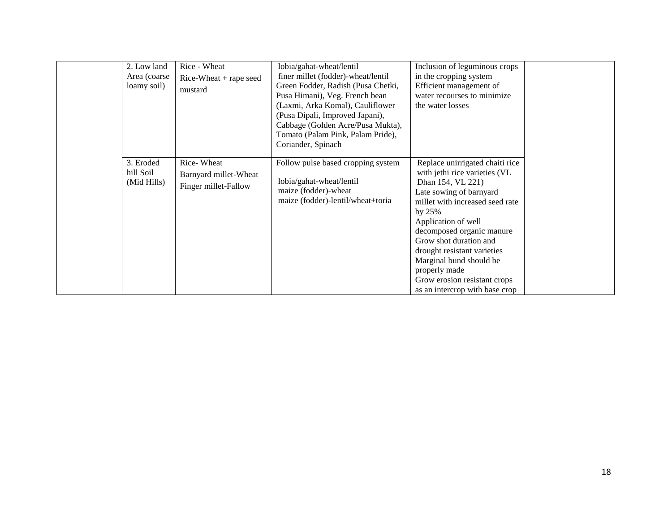| 2. Low land<br>Area (coarse)<br>loamy soil) | Rice - Wheat<br>$Rice-Wheat + rape seed$<br>mustard         | lobia/gahat-wheat/lentil<br>finer millet (fodder)-wheat/lentil<br>Green Fodder, Radish (Pusa Chetki,<br>Pusa Himani), Veg. French bean<br>(Laxmi, Arka Komal), Cauliflower<br>(Pusa Dipali, Improved Japani),<br>Cabbage (Golden Acre/Pusa Mukta),<br>Tomato (Palam Pink, Palam Pride),<br>Coriander, Spinach | Inclusion of leguminous crops<br>in the cropping system<br>Efficient management of<br>water recourses to minimize<br>the water losses                                                                                                                                                                                                                                                    |  |
|---------------------------------------------|-------------------------------------------------------------|---------------------------------------------------------------------------------------------------------------------------------------------------------------------------------------------------------------------------------------------------------------------------------------------------------------|------------------------------------------------------------------------------------------------------------------------------------------------------------------------------------------------------------------------------------------------------------------------------------------------------------------------------------------------------------------------------------------|--|
| 3. Eroded<br>hill Soil<br>(Mid Hills)       | Rice-Wheat<br>Barnyard millet-Wheat<br>Finger millet-Fallow | Follow pulse based cropping system<br>lobia/gahat-wheat/lentil<br>maize (fodder)-wheat<br>maize (fodder)-lentil/wheat+toria                                                                                                                                                                                   | Replace unirrigated chaiti rice<br>with jethi rice varieties (VL<br>Dhan 154, VL 221)<br>Late sowing of barnyard<br>millet with increased seed rate<br>by 25%<br>Application of well<br>decomposed organic manure<br>Grow shot duration and<br>drought resistant varieties<br>Marginal bund should be<br>properly made<br>Grow erosion resistant crops<br>as an intercrop with base crop |  |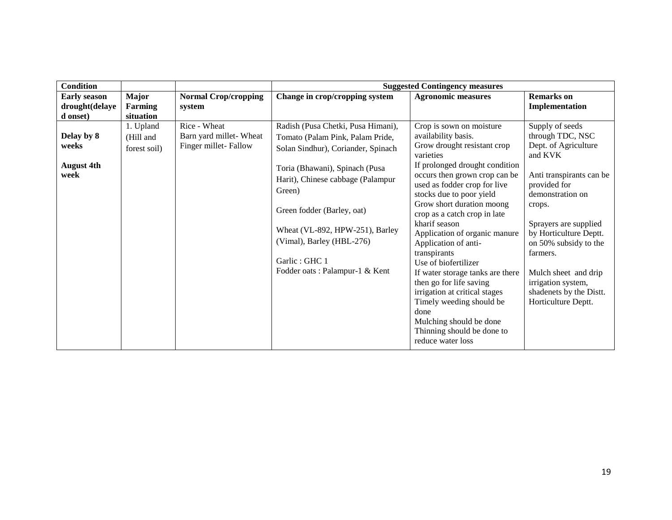| <b>Condition</b>           |                             |                             |                                                                                                                                                                                                                                | <b>Suggested Contingency measures</b>                                                                                                                                                                                                                                                                                                                                                                                                                                                                                        |                                                                                                                                                                                                                                                                |
|----------------------------|-----------------------------|-----------------------------|--------------------------------------------------------------------------------------------------------------------------------------------------------------------------------------------------------------------------------|------------------------------------------------------------------------------------------------------------------------------------------------------------------------------------------------------------------------------------------------------------------------------------------------------------------------------------------------------------------------------------------------------------------------------------------------------------------------------------------------------------------------------|----------------------------------------------------------------------------------------------------------------------------------------------------------------------------------------------------------------------------------------------------------------|
| <b>Early season</b>        | <b>Major</b>                | <b>Normal Crop/cropping</b> | Change in crop/cropping system                                                                                                                                                                                                 | <b>Agronomic measures</b>                                                                                                                                                                                                                                                                                                                                                                                                                                                                                                    | <b>Remarks</b> on                                                                                                                                                                                                                                              |
| drought(delaye<br>d onset) | <b>Farming</b><br>situation | system                      |                                                                                                                                                                                                                                |                                                                                                                                                                                                                                                                                                                                                                                                                                                                                                                              | Implementation                                                                                                                                                                                                                                                 |
|                            | 1. Upland                   | Rice - Wheat                | Radish (Pusa Chetki, Pusa Himani),                                                                                                                                                                                             | Crop is sown on moisture                                                                                                                                                                                                                                                                                                                                                                                                                                                                                                     | Supply of seeds                                                                                                                                                                                                                                                |
| Delay by 8                 | (Hill and                   | Barn yard millet- Wheat     | Tomato (Palam Pink, Palam Pride,                                                                                                                                                                                               | availability basis.                                                                                                                                                                                                                                                                                                                                                                                                                                                                                                          | through TDC, NSC                                                                                                                                                                                                                                               |
| weeks                      | forest soil)                | Finger millet-Fallow        | Solan Sindhur), Coriander, Spinach                                                                                                                                                                                             | Grow drought resistant crop<br>varieties                                                                                                                                                                                                                                                                                                                                                                                                                                                                                     | Dept. of Agriculture<br>and KVK                                                                                                                                                                                                                                |
| <b>August 4th</b><br>week  |                             |                             | Toria (Bhawani), Spinach (Pusa<br>Harit), Chinese cabbage (Palampur<br>Green)<br>Green fodder (Barley, oat)<br>Wheat (VL-892, HPW-251), Barley<br>(Vimal), Barley (HBL-276)<br>Garlic: GHC 1<br>Fodder oats: Palampur-1 & Kent | If prolonged drought condition<br>occurs then grown crop can be<br>used as fodder crop for live<br>stocks due to poor yield<br>Grow short duration moong<br>crop as a catch crop in late<br>kharif season<br>Application of organic manure<br>Application of anti-<br>transpirants<br>Use of biofertilizer<br>If water storage tanks are there<br>then go for life saving<br>irrigation at critical stages<br>Timely weeding should be<br>done<br>Mulching should be done<br>Thinning should be done to<br>reduce water loss | Anti transpirants can be<br>provided for<br>demonstration on<br>crops.<br>Sprayers are supplied<br>by Horticulture Deptt.<br>on 50% subsidy to the<br>farmers.<br>Mulch sheet and drip<br>irrigation system,<br>shadenets by the Distt.<br>Horticulture Deptt. |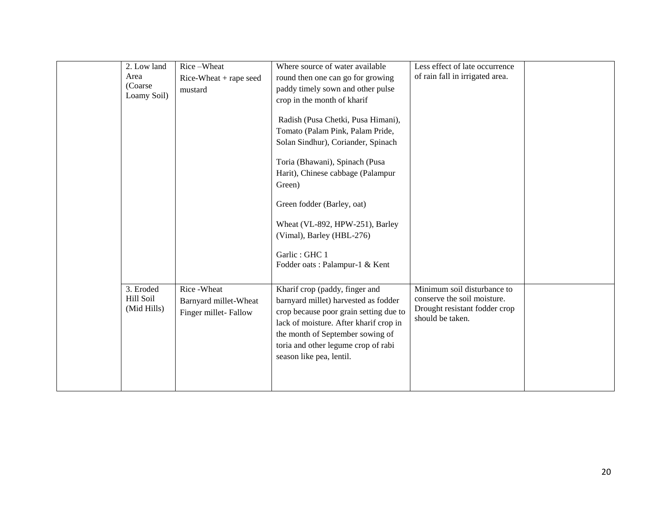| 2. Low land<br>Area<br>(Coarse        | Rice-Wheat<br>Rice-Wheat + rape seed                          | Where source of water available<br>round then one can go for growing                                                                                                                                                                                              | Less effect of late occurrence<br>of rain fall in irrigated area.                                               |  |
|---------------------------------------|---------------------------------------------------------------|-------------------------------------------------------------------------------------------------------------------------------------------------------------------------------------------------------------------------------------------------------------------|-----------------------------------------------------------------------------------------------------------------|--|
| Loamy Soil)                           | mustard                                                       | paddy timely sown and other pulse<br>crop in the month of kharif                                                                                                                                                                                                  |                                                                                                                 |  |
|                                       |                                                               | Radish (Pusa Chetki, Pusa Himani),<br>Tomato (Palam Pink, Palam Pride,                                                                                                                                                                                            |                                                                                                                 |  |
|                                       |                                                               | Solan Sindhur), Coriander, Spinach                                                                                                                                                                                                                                |                                                                                                                 |  |
|                                       |                                                               | Toria (Bhawani), Spinach (Pusa<br>Harit), Chinese cabbage (Palampur<br>Green)                                                                                                                                                                                     |                                                                                                                 |  |
|                                       |                                                               | Green fodder (Barley, oat)                                                                                                                                                                                                                                        |                                                                                                                 |  |
|                                       |                                                               | Wheat (VL-892, HPW-251), Barley<br>(Vimal), Barley (HBL-276)                                                                                                                                                                                                      |                                                                                                                 |  |
|                                       |                                                               | Garlic: GHC 1<br>Fodder oats: Palampur-1 & Kent                                                                                                                                                                                                                   |                                                                                                                 |  |
| 3. Eroded<br>Hill Soil<br>(Mid Hills) | Rice - Wheat<br>Barnyard millet-Wheat<br>Finger millet-Fallow | Kharif crop (paddy, finger and<br>barnyard millet) harvested as fodder<br>crop because poor grain setting due to<br>lack of moisture. After kharif crop in<br>the month of September sowing of<br>toria and other legume crop of rabi<br>season like pea, lentil. | Minimum soil disturbance to<br>conserve the soil moisture.<br>Drought resistant fodder crop<br>should be taken. |  |
|                                       |                                                               |                                                                                                                                                                                                                                                                   |                                                                                                                 |  |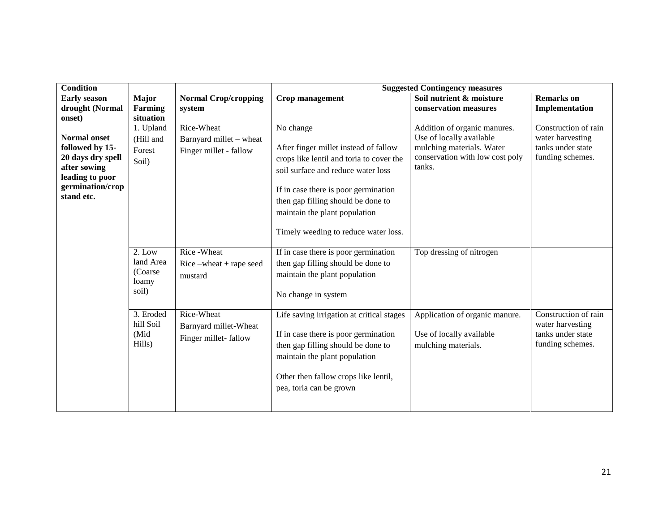| <b>Condition</b>               |                        |                             |                                           | <b>Suggested Contingency measures</b>                    |                                          |
|--------------------------------|------------------------|-----------------------------|-------------------------------------------|----------------------------------------------------------|------------------------------------------|
| <b>Early season</b>            | <b>Major</b>           | <b>Normal Crop/cropping</b> | Crop management                           | Soil nutrient & moisture                                 | <b>Remarks</b> on                        |
| drought (Normal                | Farming                | system                      |                                           | conservation measures                                    | Implementation                           |
| onset)                         | situation              |                             |                                           |                                                          |                                          |
| <b>Normal onset</b>            | 1. Upland              | Rice-Wheat                  | No change                                 | Addition of organic manures.<br>Use of locally available | Construction of rain<br>water harvesting |
| followed by 15-                | (Hill and              | Barnyard millet - wheat     | After finger millet instead of fallow     | mulching materials. Water                                | tanks under state                        |
| 20 days dry spell              | Forest                 | Finger millet - fallow      | crops like lentil and toria to cover the  | conservation with low cost poly                          | funding schemes.                         |
| after sowing                   | Soil)                  |                             | soil surface and reduce water loss        | tanks.                                                   |                                          |
| leading to poor                |                        |                             |                                           |                                                          |                                          |
| germination/crop<br>stand etc. |                        |                             | If in case there is poor germination      |                                                          |                                          |
|                                |                        |                             | then gap filling should be done to        |                                                          |                                          |
|                                |                        |                             | maintain the plant population             |                                                          |                                          |
|                                |                        |                             | Timely weeding to reduce water loss.      |                                                          |                                          |
|                                |                        |                             |                                           |                                                          |                                          |
|                                | $2.$ Low<br>land Area  | Rice - Wheat                | If in case there is poor germination      | Top dressing of nitrogen                                 |                                          |
|                                | (Coarse)               | $Rice$ -wheat + rape seed   | then gap filling should be done to        |                                                          |                                          |
|                                | loamy                  | mustard                     | maintain the plant population             |                                                          |                                          |
|                                | soil)                  |                             | No change in system                       |                                                          |                                          |
|                                |                        |                             |                                           |                                                          |                                          |
|                                | 3. Eroded<br>hill Soil | Rice-Wheat                  | Life saving irrigation at critical stages | Application of organic manure.                           | Construction of rain<br>water harvesting |
|                                | (Mid                   | Barnyard millet-Wheat       | If in case there is poor germination      | Use of locally available                                 | tanks under state                        |
|                                | Hills)                 | Finger millet-fallow        | then gap filling should be done to        | mulching materials.                                      | funding schemes.                         |
|                                |                        |                             | maintain the plant population             |                                                          |                                          |
|                                |                        |                             |                                           |                                                          |                                          |
|                                |                        |                             | Other then fallow crops like lentil,      |                                                          |                                          |
|                                |                        |                             | pea, toria can be grown                   |                                                          |                                          |
|                                |                        |                             |                                           |                                                          |                                          |
|                                |                        |                             |                                           |                                                          |                                          |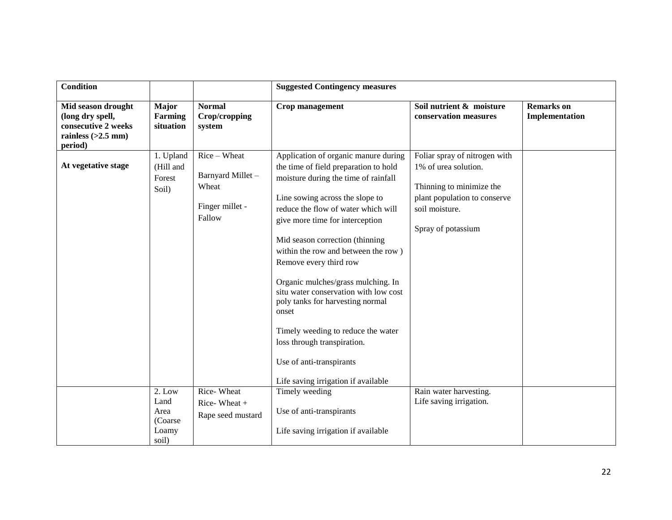| <b>Condition</b>                                                                                 |                                                     |                                                                          | <b>Suggested Contingency measures</b>                                                                                                                                                                                                                                                                                                                                                                                                                                                                                                                                                                      |                                                                                                                                                           |                                     |
|--------------------------------------------------------------------------------------------------|-----------------------------------------------------|--------------------------------------------------------------------------|------------------------------------------------------------------------------------------------------------------------------------------------------------------------------------------------------------------------------------------------------------------------------------------------------------------------------------------------------------------------------------------------------------------------------------------------------------------------------------------------------------------------------------------------------------------------------------------------------------|-----------------------------------------------------------------------------------------------------------------------------------------------------------|-------------------------------------|
| Mid season drought<br>(long dry spell,<br>consecutive 2 weeks<br>rainless $(>2.5$ mm)<br>period) | Major<br><b>Farming</b><br>situation                | <b>Normal</b><br>Crop/cropping<br>system                                 | Crop management                                                                                                                                                                                                                                                                                                                                                                                                                                                                                                                                                                                            | Soil nutrient & moisture<br>conservation measures                                                                                                         | <b>Remarks</b> on<br>Implementation |
| At vegetative stage                                                                              | 1. Upland<br>(Hill and<br>Forest<br>Soil)           | $Rice - Wheat$<br>Barnyard Millet-<br>Wheat<br>Finger millet -<br>Fallow | Application of organic manure during<br>the time of field preparation to hold<br>moisture during the time of rainfall<br>Line sowing across the slope to<br>reduce the flow of water which will<br>give more time for interception<br>Mid season correction (thinning<br>within the row and between the row)<br>Remove every third row<br>Organic mulches/grass mulching. In<br>situ water conservation with low cost<br>poly tanks for harvesting normal<br>onset<br>Timely weeding to reduce the water<br>loss through transpiration.<br>Use of anti-transpirants<br>Life saving irrigation if available | Foliar spray of nitrogen with<br>1% of urea solution.<br>Thinning to minimize the<br>plant population to conserve<br>soil moisture.<br>Spray of potassium |                                     |
|                                                                                                  | 2. Low<br>Land<br>Area<br>(Coarse<br>Loamy<br>soil) | Rice-Wheat<br>Rice-Wheat $+$<br>Rape seed mustard                        | Timely weeding<br>Use of anti-transpirants<br>Life saving irrigation if available                                                                                                                                                                                                                                                                                                                                                                                                                                                                                                                          | Rain water harvesting.<br>Life saving irrigation.                                                                                                         |                                     |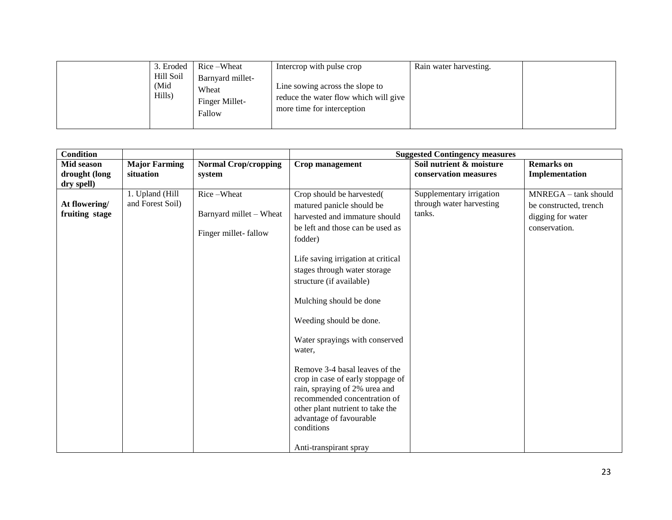| 3. Eroded<br>Hill Soil<br>(Mid<br>Hills) | Rice – Wheat<br>Barnyard millet-<br>Wheat<br>Finger Millet-<br>Fallow | Intercrop with pulse crop<br>Line sowing across the slope to<br>reduce the water flow which will give<br>more time for interception | Rain water harvesting. |  |
|------------------------------------------|-----------------------------------------------------------------------|-------------------------------------------------------------------------------------------------------------------------------------|------------------------|--|
|------------------------------------------|-----------------------------------------------------------------------|-------------------------------------------------------------------------------------------------------------------------------------|------------------------|--|

| <b>Condition</b> |                      |                             | <b>Suggested Contingency measures</b> |                          |                        |  |
|------------------|----------------------|-----------------------------|---------------------------------------|--------------------------|------------------------|--|
| Mid season       | <b>Major Farming</b> | <b>Normal Crop/cropping</b> | Crop management                       | Soil nutrient & moisture | <b>Remarks</b> on      |  |
| drought (long    | situation            | system                      |                                       | conservation measures    | Implementation         |  |
| dry spell)       |                      |                             |                                       |                          |                        |  |
|                  | 1. Upland (Hill      | Rice-Wheat                  | Crop should be harvested(             | Supplementary irrigation | MNREGA - tank should   |  |
| At flowering/    | and Forest Soil)     |                             | matured panicle should be             | through water harvesting | be constructed, trench |  |
| fruiting stage   |                      | Barnyard millet - Wheat     | harvested and immature should         | tanks.                   | digging for water      |  |
|                  |                      |                             | be left and those can be used as      |                          | conservation.          |  |
|                  |                      | Finger millet-fallow        | fodder)                               |                          |                        |  |
|                  |                      |                             |                                       |                          |                        |  |
|                  |                      |                             | Life saving irrigation at critical    |                          |                        |  |
|                  |                      |                             | stages through water storage          |                          |                        |  |
|                  |                      |                             | structure (if available)              |                          |                        |  |
|                  |                      |                             |                                       |                          |                        |  |
|                  |                      |                             | Mulching should be done               |                          |                        |  |
|                  |                      |                             |                                       |                          |                        |  |
|                  |                      |                             | Weeding should be done.               |                          |                        |  |
|                  |                      |                             |                                       |                          |                        |  |
|                  |                      |                             | Water sprayings with conserved        |                          |                        |  |
|                  |                      |                             | water.                                |                          |                        |  |
|                  |                      |                             | Remove 3-4 basal leaves of the        |                          |                        |  |
|                  |                      |                             | crop in case of early stoppage of     |                          |                        |  |
|                  |                      |                             | rain, spraying of 2% urea and         |                          |                        |  |
|                  |                      |                             | recommended concentration of          |                          |                        |  |
|                  |                      |                             | other plant nutrient to take the      |                          |                        |  |
|                  |                      |                             | advantage of favourable               |                          |                        |  |
|                  |                      |                             | conditions                            |                          |                        |  |
|                  |                      |                             |                                       |                          |                        |  |
|                  |                      |                             | Anti-transpirant spray                |                          |                        |  |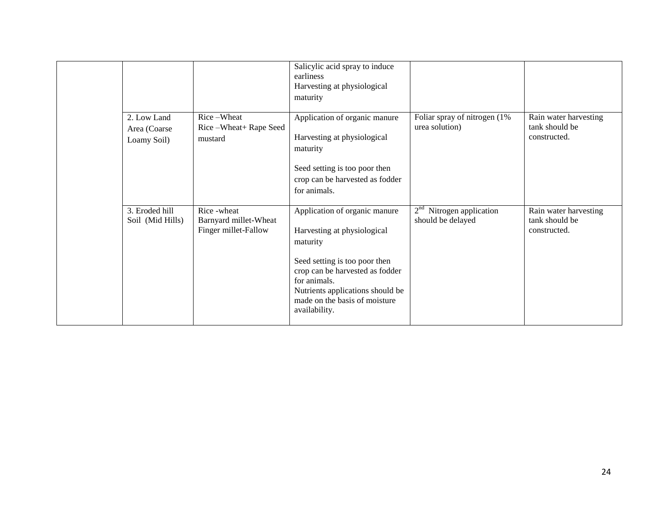|                                            |                                                               | Salicylic acid spray to induce<br>earliness<br>Harvesting at physiological<br>maturity                                                                                                                                                             |                                                 |                                                         |
|--------------------------------------------|---------------------------------------------------------------|----------------------------------------------------------------------------------------------------------------------------------------------------------------------------------------------------------------------------------------------------|-------------------------------------------------|---------------------------------------------------------|
| 2. Low Land<br>Area (Coarse<br>Loamy Soil) | Rice-Wheat<br>Rice-Wheat+ Rape Seed<br>mustard                | Application of organic manure<br>Harvesting at physiological<br>maturity<br>Seed setting is too poor then<br>crop can be harvested as fodder<br>for animals.                                                                                       | Foliar spray of nitrogen (1%)<br>urea solution) | Rain water harvesting<br>tank should be<br>constructed. |
| 3. Eroded hill<br>Soil (Mid Hills)         | Rice - wheat<br>Barnyard millet-Wheat<br>Finger millet-Fallow | Application of organic manure<br>Harvesting at physiological<br>maturity<br>Seed setting is too poor then<br>crop can be harvested as fodder<br>for animals.<br>Nutrients applications should be<br>made on the basis of moisture<br>availability. | $2nd$ Nitrogen application<br>should be delayed | Rain water harvesting<br>tank should be<br>constructed. |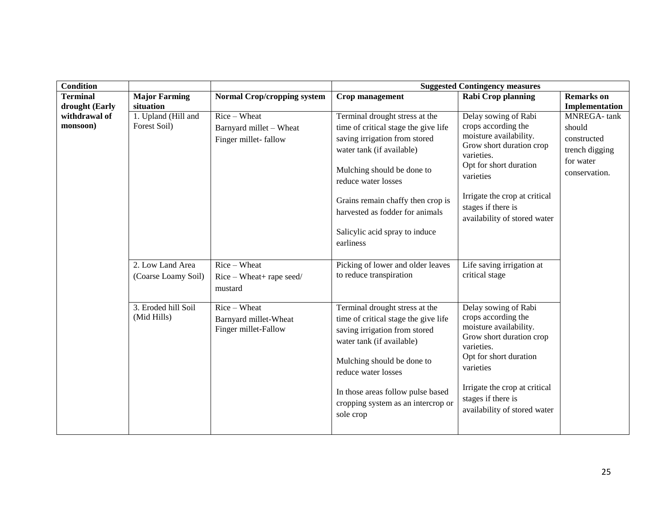| <b>Condition</b> |                                    |                                                               | <b>Suggested Contingency measures</b>                                                                                                                                                                                                                                             |                                                                                                                                                                                                                                               |                                                             |  |
|------------------|------------------------------------|---------------------------------------------------------------|-----------------------------------------------------------------------------------------------------------------------------------------------------------------------------------------------------------------------------------------------------------------------------------|-----------------------------------------------------------------------------------------------------------------------------------------------------------------------------------------------------------------------------------------------|-------------------------------------------------------------|--|
| <b>Terminal</b>  | <b>Major Farming</b>               | <b>Normal Crop/cropping system</b>                            | Crop management                                                                                                                                                                                                                                                                   | <b>Rabi Crop planning</b>                                                                                                                                                                                                                     | <b>Remarks</b> on                                           |  |
| drought (Early   | situation                          |                                                               |                                                                                                                                                                                                                                                                                   |                                                                                                                                                                                                                                               | Implementation                                              |  |
| withdrawal of    | 1. Upland (Hill and                | Rice - Wheat                                                  | Terminal drought stress at the                                                                                                                                                                                                                                                    | Delay sowing of Rabi                                                                                                                                                                                                                          | <b>MNREGA-tank</b>                                          |  |
| monsoon)         | Forest Soil)                       | Barnyard millet - Wheat                                       | time of critical stage the give life                                                                                                                                                                                                                                              | crops according the                                                                                                                                                                                                                           | should                                                      |  |
|                  |                                    | Finger millet-fallow                                          | saving irrigation from stored<br>water tank (if available)                                                                                                                                                                                                                        | moisture availability.<br>Grow short duration crop<br>varieties.                                                                                                                                                                              | constructed<br>trench digging<br>for water<br>conservation. |  |
|                  |                                    |                                                               | Mulching should be done to<br>reduce water losses                                                                                                                                                                                                                                 | Opt for short duration<br>varieties                                                                                                                                                                                                           |                                                             |  |
|                  |                                    |                                                               | Grains remain chaffy then crop is<br>harvested as fodder for animals                                                                                                                                                                                                              | Irrigate the crop at critical<br>stages if there is<br>availability of stored water                                                                                                                                                           |                                                             |  |
|                  |                                    |                                                               | Salicylic acid spray to induce<br>earliness                                                                                                                                                                                                                                       |                                                                                                                                                                                                                                               |                                                             |  |
|                  | 2. Low Land Area                   | $Rice-Wheat$                                                  | Picking of lower and older leaves                                                                                                                                                                                                                                                 | Life saving irrigation at                                                                                                                                                                                                                     |                                                             |  |
|                  | (Coarse Loamy Soil)                | Rice - Wheat+ rape seed/                                      | to reduce transpiration                                                                                                                                                                                                                                                           | critical stage                                                                                                                                                                                                                                |                                                             |  |
|                  |                                    | mustard                                                       |                                                                                                                                                                                                                                                                                   |                                                                                                                                                                                                                                               |                                                             |  |
|                  | 3. Eroded hill Soil<br>(Mid Hills) | $Rice-Wheat$<br>Barnyard millet-Wheat<br>Finger millet-Fallow | Terminal drought stress at the<br>time of critical stage the give life<br>saving irrigation from stored<br>water tank (if available)<br>Mulching should be done to<br>reduce water losses<br>In those areas follow pulse based<br>cropping system as an intercrop or<br>sole crop | Delay sowing of Rabi<br>crops according the<br>moisture availability.<br>Grow short duration crop<br>varieties.<br>Opt for short duration<br>varieties<br>Irrigate the crop at critical<br>stages if there is<br>availability of stored water |                                                             |  |
|                  |                                    |                                                               |                                                                                                                                                                                                                                                                                   |                                                                                                                                                                                                                                               |                                                             |  |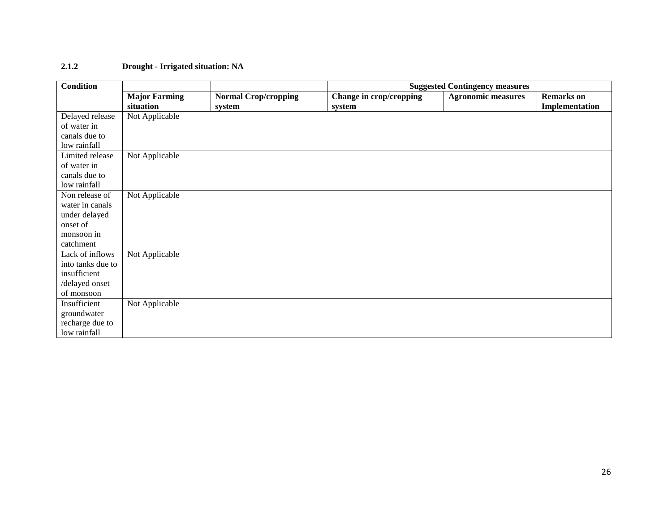# **2.1.2 Drought - Irrigated situation: NA**

| <b>Condition</b>  |                      |                             |                         | <b>Suggested Contingency measures</b> |                   |
|-------------------|----------------------|-----------------------------|-------------------------|---------------------------------------|-------------------|
|                   | <b>Major Farming</b> | <b>Normal Crop/cropping</b> | Change in crop/cropping | <b>Agronomic measures</b>             | <b>Remarks</b> on |
|                   | situation            | system                      | system                  |                                       | Implementation    |
| Delayed release   | Not Applicable       |                             |                         |                                       |                   |
| of water in       |                      |                             |                         |                                       |                   |
| canals due to     |                      |                             |                         |                                       |                   |
| low rainfall      |                      |                             |                         |                                       |                   |
| Limited release   | Not Applicable       |                             |                         |                                       |                   |
| of water in       |                      |                             |                         |                                       |                   |
| canals due to     |                      |                             |                         |                                       |                   |
| low rainfall      |                      |                             |                         |                                       |                   |
| Non release of    | Not Applicable       |                             |                         |                                       |                   |
| water in canals   |                      |                             |                         |                                       |                   |
| under delayed     |                      |                             |                         |                                       |                   |
| onset of          |                      |                             |                         |                                       |                   |
| monsoon in        |                      |                             |                         |                                       |                   |
| catchment         |                      |                             |                         |                                       |                   |
| Lack of inflows   | Not Applicable       |                             |                         |                                       |                   |
| into tanks due to |                      |                             |                         |                                       |                   |
| insufficient      |                      |                             |                         |                                       |                   |
| /delayed onset    |                      |                             |                         |                                       |                   |
| of monsoon        |                      |                             |                         |                                       |                   |
| Insufficient      | Not Applicable       |                             |                         |                                       |                   |
| groundwater       |                      |                             |                         |                                       |                   |
| recharge due to   |                      |                             |                         |                                       |                   |
| low rainfall      |                      |                             |                         |                                       |                   |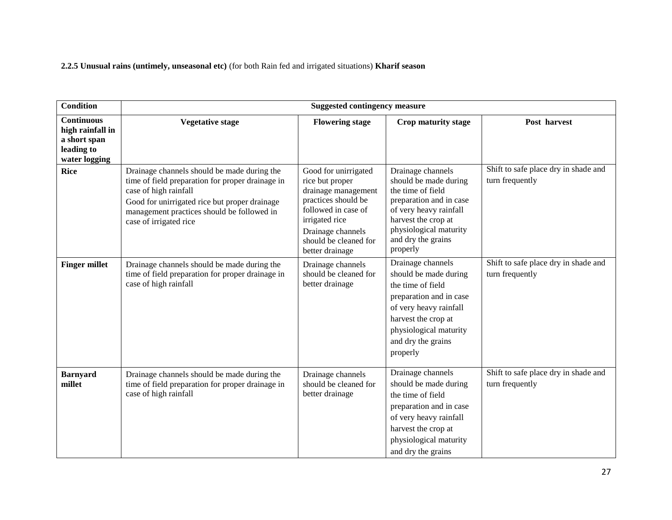# **2.2.5 Unusual rains (untimely, unseasonal etc)** (for both Rain fed and irrigated situations) **Kharif season**

| <b>Condition</b>                                                                     |                                                                                                                                                                                                                                                   | <b>Suggested contingency measure</b>                                                                                                                                                            |                                                                                                                                                                                                         |                                                         |
|--------------------------------------------------------------------------------------|---------------------------------------------------------------------------------------------------------------------------------------------------------------------------------------------------------------------------------------------------|-------------------------------------------------------------------------------------------------------------------------------------------------------------------------------------------------|---------------------------------------------------------------------------------------------------------------------------------------------------------------------------------------------------------|---------------------------------------------------------|
| <b>Continuous</b><br>high rainfall in<br>a short span<br>leading to<br>water logging | <b>Vegetative stage</b>                                                                                                                                                                                                                           | <b>Flowering stage</b>                                                                                                                                                                          | Crop maturity stage                                                                                                                                                                                     | Post harvest                                            |
| <b>Rice</b>                                                                          | Drainage channels should be made during the<br>time of field preparation for proper drainage in<br>case of high rainfall<br>Good for unirrigated rice but proper drainage<br>management practices should be followed in<br>case of irrigated rice | Good for unirrigated<br>rice but proper<br>drainage management<br>practices should be<br>followed in case of<br>irrigated rice<br>Drainage channels<br>should be cleaned for<br>better drainage | Drainage channels<br>should be made during<br>the time of field<br>preparation and in case<br>of very heavy rainfall<br>harvest the crop at<br>physiological maturity<br>and dry the grains<br>properly | Shift to safe place dry in shade and<br>turn frequently |
| <b>Finger millet</b>                                                                 | Drainage channels should be made during the<br>time of field preparation for proper drainage in<br>case of high rainfall                                                                                                                          | Drainage channels<br>should be cleaned for<br>better drainage                                                                                                                                   | Drainage channels<br>should be made during<br>the time of field<br>preparation and in case<br>of very heavy rainfall<br>harvest the crop at<br>physiological maturity<br>and dry the grains<br>properly | Shift to safe place dry in shade and<br>turn frequently |
| <b>Barnyard</b><br>millet                                                            | Drainage channels should be made during the<br>time of field preparation for proper drainage in<br>case of high rainfall                                                                                                                          | Drainage channels<br>should be cleaned for<br>better drainage                                                                                                                                   | Drainage channels<br>should be made during<br>the time of field<br>preparation and in case<br>of very heavy rainfall<br>harvest the crop at<br>physiological maturity<br>and dry the grains             | Shift to safe place dry in shade and<br>turn frequently |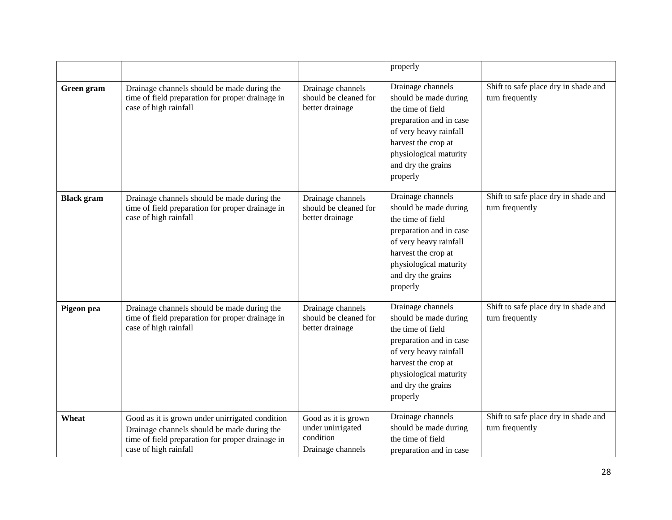|                   |                                                                                                                                                                             |                                                                            | properly                                                                                                                                                                                                |                                                         |
|-------------------|-----------------------------------------------------------------------------------------------------------------------------------------------------------------------------|----------------------------------------------------------------------------|---------------------------------------------------------------------------------------------------------------------------------------------------------------------------------------------------------|---------------------------------------------------------|
| Green gram        | Drainage channels should be made during the<br>time of field preparation for proper drainage in<br>case of high rainfall                                                    | Drainage channels<br>should be cleaned for<br>better drainage              | Drainage channels<br>should be made during<br>the time of field<br>preparation and in case<br>of very heavy rainfall<br>harvest the crop at<br>physiological maturity<br>and dry the grains<br>properly | Shift to safe place dry in shade and<br>turn frequently |
| <b>Black</b> gram | Drainage channels should be made during the<br>time of field preparation for proper drainage in<br>case of high rainfall                                                    | Drainage channels<br>should be cleaned for<br>better drainage              | Drainage channels<br>should be made during<br>the time of field<br>preparation and in case<br>of very heavy rainfall<br>harvest the crop at<br>physiological maturity<br>and dry the grains<br>properly | Shift to safe place dry in shade and<br>turn frequently |
| Pigeon pea        | Drainage channels should be made during the<br>time of field preparation for proper drainage in<br>case of high rainfall                                                    | Drainage channels<br>should be cleaned for<br>better drainage              | Drainage channels<br>should be made during<br>the time of field<br>preparation and in case<br>of very heavy rainfall<br>harvest the crop at<br>physiological maturity<br>and dry the grains<br>properly | Shift to safe place dry in shade and<br>turn frequently |
| Wheat             | Good as it is grown under unirrigated condition<br>Drainage channels should be made during the<br>time of field preparation for proper drainage in<br>case of high rainfall | Good as it is grown<br>under unirrigated<br>condition<br>Drainage channels | Drainage channels<br>should be made during<br>the time of field<br>preparation and in case                                                                                                              | Shift to safe place dry in shade and<br>turn frequently |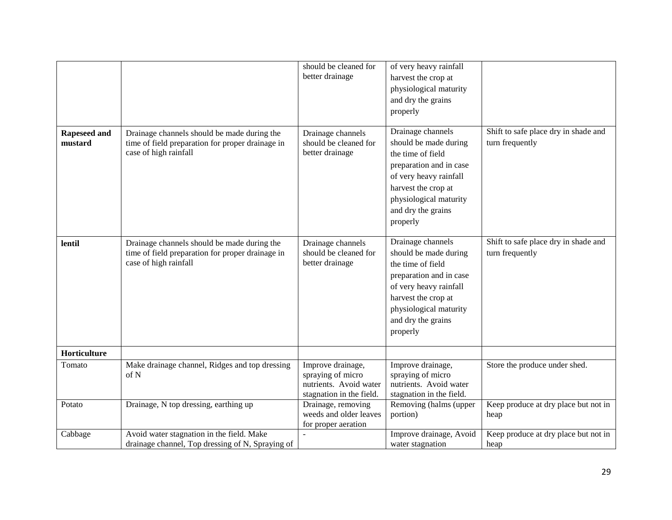|                         |                                                                                                                          | should be cleaned for<br>better drainage                                                     | of very heavy rainfall<br>harvest the crop at<br>physiological maturity<br>and dry the grains<br>properly                                                                                               |                                                         |
|-------------------------|--------------------------------------------------------------------------------------------------------------------------|----------------------------------------------------------------------------------------------|---------------------------------------------------------------------------------------------------------------------------------------------------------------------------------------------------------|---------------------------------------------------------|
| Rapeseed and<br>mustard | Drainage channels should be made during the<br>time of field preparation for proper drainage in<br>case of high rainfall | Drainage channels<br>should be cleaned for<br>better drainage                                | Drainage channels<br>should be made during<br>the time of field<br>preparation and in case<br>of very heavy rainfall<br>harvest the crop at<br>physiological maturity<br>and dry the grains<br>properly | Shift to safe place dry in shade and<br>turn frequently |
| lentil                  | Drainage channels should be made during the<br>time of field preparation for proper drainage in<br>case of high rainfall | Drainage channels<br>should be cleaned for<br>better drainage                                | Drainage channels<br>should be made during<br>the time of field<br>preparation and in case<br>of very heavy rainfall<br>harvest the crop at<br>physiological maturity<br>and dry the grains<br>properly | Shift to safe place dry in shade and<br>turn frequently |
| Horticulture            |                                                                                                                          |                                                                                              |                                                                                                                                                                                                         |                                                         |
| Tomato                  | Make drainage channel, Ridges and top dressing<br>of N                                                                   | Improve drainage,<br>spraying of micro<br>nutrients. Avoid water<br>stagnation in the field. | Improve drainage,<br>spraying of micro<br>nutrients. Avoid water<br>stagnation in the field.                                                                                                            | Store the produce under shed.                           |
| Potato                  | Drainage, N top dressing, earthing up                                                                                    | Drainage, removing<br>weeds and older leaves<br>for proper aeration                          | Removing (halms (upper<br>portion)                                                                                                                                                                      | Keep produce at dry place but not in<br>heap            |
| Cabbage                 | Avoid water stagnation in the field. Make<br>drainage channel, Top dressing of N, Spraying of                            |                                                                                              | Improve drainage, Avoid<br>water stagnation                                                                                                                                                             | Keep produce at dry place but not in<br>heap            |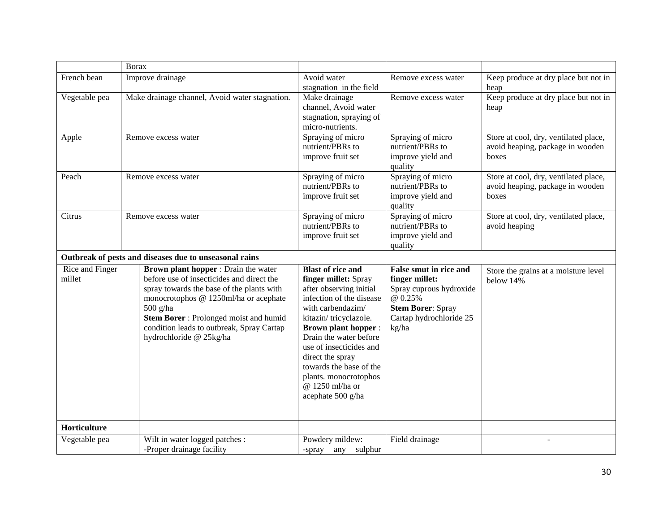|                               | <b>Borax</b>                                                                                                                                                                                                                                                                                               |                                                                                                                                                                                                                                                                                                                                                          |                                                                                                                                                |                                                                                    |
|-------------------------------|------------------------------------------------------------------------------------------------------------------------------------------------------------------------------------------------------------------------------------------------------------------------------------------------------------|----------------------------------------------------------------------------------------------------------------------------------------------------------------------------------------------------------------------------------------------------------------------------------------------------------------------------------------------------------|------------------------------------------------------------------------------------------------------------------------------------------------|------------------------------------------------------------------------------------|
| French bean                   | Improve drainage                                                                                                                                                                                                                                                                                           | Avoid water<br>stagnation in the field                                                                                                                                                                                                                                                                                                                   | Remove excess water                                                                                                                            | Keep produce at dry place but not in<br>heap                                       |
| Vegetable pea                 | Make drainage channel, Avoid water stagnation.                                                                                                                                                                                                                                                             | Make drainage<br>channel, Avoid water<br>stagnation, spraying of<br>micro-nutrients.                                                                                                                                                                                                                                                                     | Remove excess water                                                                                                                            | Keep produce at dry place but not in<br>heap                                       |
| Apple                         | Remove excess water                                                                                                                                                                                                                                                                                        | Spraying of micro<br>nutrient/PBRs to<br>improve fruit set                                                                                                                                                                                                                                                                                               | Spraying of micro<br>nutrient/PBRs to<br>improve yield and<br>quality                                                                          | Store at cool, dry, ventilated place,<br>avoid heaping, package in wooden<br>boxes |
| Peach<br>Remove excess water  |                                                                                                                                                                                                                                                                                                            | Spraying of micro<br>nutrient/PBRs to<br>improve fruit set                                                                                                                                                                                                                                                                                               | Spraying of micro<br>nutrient/PBRs to<br>improve yield and<br>quality                                                                          | Store at cool, dry, ventilated place,<br>avoid heaping, package in wooden<br>boxes |
| Citrus<br>Remove excess water |                                                                                                                                                                                                                                                                                                            | Spraying of micro<br>nutrient/PBRs to<br>improve fruit set                                                                                                                                                                                                                                                                                               | Spraying of micro<br>nutrient/PBRs to<br>improve yield and<br>quality                                                                          | Store at cool, dry, ventilated place,<br>avoid heaping                             |
|                               | Outbreak of pests and diseases due to unseasonal rains                                                                                                                                                                                                                                                     |                                                                                                                                                                                                                                                                                                                                                          |                                                                                                                                                |                                                                                    |
| Rice and Finger<br>millet     | <b>Brown plant hopper:</b> Drain the water<br>before use of insecticides and direct the<br>spray towards the base of the plants with<br>monocrotophos @ 1250ml/ha or acephate<br>500 g/ha<br>Stem Borer: Prolonged moist and humid<br>condition leads to outbreak, Spray Cartap<br>hydrochloride @ 25kg/ha | <b>Blast of rice and</b><br>finger millet: Spray<br>after observing initial<br>infection of the disease<br>with carbendazim/<br>kitazin/tricyclazole.<br><b>Brown plant hopper:</b><br>Drain the water before<br>use of insecticides and<br>direct the spray<br>towards the base of the<br>plants. monocrotophos<br>@ 1250 ml/ha or<br>acephate 500 g/ha | False smut in rice and<br>finger millet:<br>Spray cuprous hydroxide<br>@ 0.25%<br><b>Stem Borer: Spray</b><br>Cartap hydrochloride 25<br>kg/ha | Store the grains at a moisture level<br>below 14%                                  |
| Horticulture                  |                                                                                                                                                                                                                                                                                                            |                                                                                                                                                                                                                                                                                                                                                          |                                                                                                                                                |                                                                                    |
| Vegetable pea                 | Wilt in water logged patches :<br>-Proper drainage facility                                                                                                                                                                                                                                                | Powdery mildew:<br>sulphur<br>-spray any                                                                                                                                                                                                                                                                                                                 | Field drainage                                                                                                                                 |                                                                                    |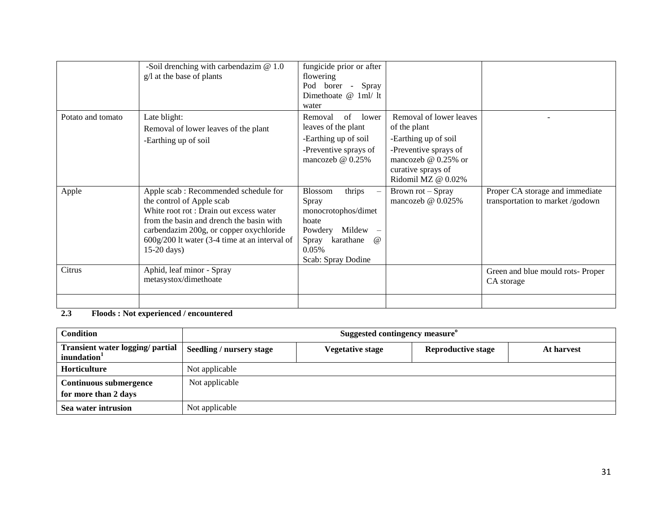|                   | -Soil drenching with carbendazim $@1.0$<br>g/l at the base of plants                                                                                                                                                                                                    | fungicide prior or after<br>flowering<br>Pod borer -<br>Spray<br>Dimethoate @ 1ml/ lt<br>water                                                                               |                                                                                                                                                             |                                                                     |
|-------------------|-------------------------------------------------------------------------------------------------------------------------------------------------------------------------------------------------------------------------------------------------------------------------|------------------------------------------------------------------------------------------------------------------------------------------------------------------------------|-------------------------------------------------------------------------------------------------------------------------------------------------------------|---------------------------------------------------------------------|
| Potato and tomato | Late blight:<br>Removal of lower leaves of the plant<br>-Earthing up of soil                                                                                                                                                                                            | of<br>Removal<br>lower<br>leaves of the plant<br>-Earthing up of soil<br>-Preventive sprays of<br>mancozeb $\omega$ 0.25%                                                    | Removal of lower leaves<br>of the plant<br>-Earthing up of soil<br>-Preventive sprays of<br>mancozeb @ 0.25% or<br>curative sprays of<br>Ridomil MZ @ 0.02% |                                                                     |
| Apple             | Apple scab : Recommended schedule for<br>the control of Apple scab<br>White root rot: Drain out excess water<br>from the basin and drench the basin with<br>carbendazim 200g, or copper oxychloride<br>$600g/200$ lt water (3-4 time at an interval of<br>$15-20$ days) | thrips<br>Blossom<br>Spray<br>monocrotophos/dimet<br>hoate<br>Mildew<br>Powdery<br>$\overline{\phantom{0}}$<br>karathane<br>Spray<br>$\omega$<br>0.05%<br>Scab: Spray Dodine | Brown $rot -$ Spray<br>mancozeb $@0.025\%$                                                                                                                  | Proper CA storage and immediate<br>transportation to market /godown |
| Citrus            | Aphid, leaf minor - Spray<br>metasystox/dimethoate                                                                                                                                                                                                                      |                                                                                                                                                                              |                                                                                                                                                             | Green and blue mould rots- Proper<br>CA storage                     |

**2.3 Floods : Not experienced / encountered**

| <b>Condition</b>                                            | Suggested contingency measure <sup>o</sup> |                  |                           |            |
|-------------------------------------------------------------|--------------------------------------------|------------------|---------------------------|------------|
| Transient water logging/ partial<br>inundation <sup>1</sup> | <b>Seedling / nursery stage</b>            | Vegetative stage | <b>Reproductive stage</b> | At harvest |
| <b>Horticulture</b>                                         | Not applicable                             |                  |                           |            |
| Continuous submergence                                      | Not applicable                             |                  |                           |            |
| for more than 2 days                                        |                                            |                  |                           |            |
| Sea water intrusion                                         | Not applicable                             |                  |                           |            |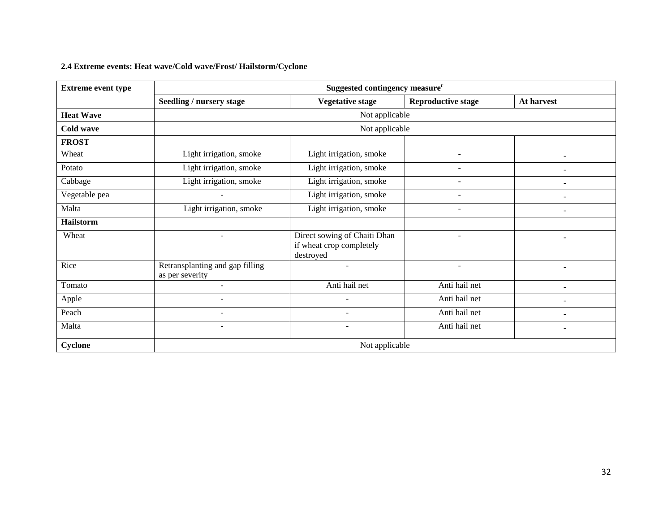# **2.4 Extreme events: Heat wave/Cold wave/Frost/ Hailstorm/Cyclone**

| <b>Extreme event type</b> | Suggested contingency measure <sup>r</sup>         |                                                                       |                           |                          |  |
|---------------------------|----------------------------------------------------|-----------------------------------------------------------------------|---------------------------|--------------------------|--|
|                           | Seedling / nursery stage                           | <b>Vegetative stage</b>                                               | <b>Reproductive stage</b> | At harvest               |  |
| <b>Heat Wave</b>          |                                                    | Not applicable                                                        |                           |                          |  |
| Cold wave                 |                                                    | Not applicable                                                        |                           |                          |  |
| <b>FROST</b>              |                                                    |                                                                       |                           |                          |  |
| Wheat                     | Light irrigation, smoke                            | Light irrigation, smoke                                               | $\overline{\phantom{a}}$  |                          |  |
| Potato                    | Light irrigation, smoke                            | Light irrigation, smoke                                               | $\overline{\phantom{a}}$  |                          |  |
| Cabbage                   | Light irrigation, smoke                            | Light irrigation, smoke                                               | $\overline{\phantom{a}}$  | ۰                        |  |
| Vegetable pea             |                                                    | Light irrigation, smoke                                               |                           | $\overline{\phantom{0}}$ |  |
| Malta                     | Light irrigation, smoke                            | Light irrigation, smoke                                               | $\overline{\phantom{a}}$  | $\blacksquare$           |  |
| Hailstorm                 |                                                    |                                                                       |                           |                          |  |
| Wheat                     |                                                    | Direct sowing of Chaiti Dhan<br>if wheat crop completely<br>destroyed |                           |                          |  |
| Rice                      | Retransplanting and gap filling<br>as per severity | $\overline{\phantom{a}}$                                              | $\overline{\phantom{a}}$  |                          |  |
| Tomato                    | $\overline{\phantom{a}}$                           | Anti hail net                                                         | Anti hail net             |                          |  |
| Apple                     | $\overline{\phantom{a}}$                           | ٠                                                                     | Anti hail net             |                          |  |
| Peach                     | $\overline{\phantom{a}}$                           | $\overline{\phantom{a}}$                                              | Anti hail net             |                          |  |
| Malta                     | $\overline{\phantom{a}}$                           | $\blacksquare$                                                        | Anti hail net             |                          |  |
| Cyclone                   | Not applicable                                     |                                                                       |                           |                          |  |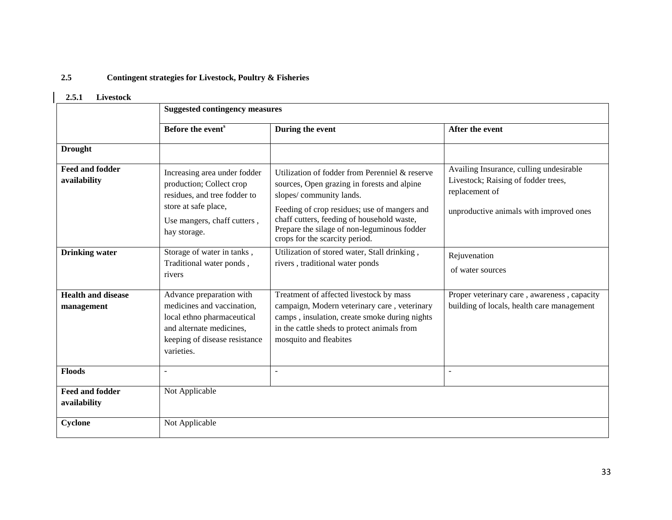# **2.5 Contingent strategies for Livestock, Poultry & Fisheries**

#### **2.5.1 Livestock**

|                                         | <b>Suggested contingency measures</b>                                                                                                                           |                                                                                                                                                                                                                   |                                                                                                                                             |  |
|-----------------------------------------|-----------------------------------------------------------------------------------------------------------------------------------------------------------------|-------------------------------------------------------------------------------------------------------------------------------------------------------------------------------------------------------------------|---------------------------------------------------------------------------------------------------------------------------------------------|--|
|                                         | Before the event <sup>s</sup>                                                                                                                                   | During the event                                                                                                                                                                                                  | After the event                                                                                                                             |  |
| <b>Drought</b>                          |                                                                                                                                                                 |                                                                                                                                                                                                                   |                                                                                                                                             |  |
| <b>Feed and fodder</b><br>availability  | Increasing area under fodder<br>production; Collect crop<br>residues, and tree fodder to<br>store at safe place,                                                | Utilization of fodder from Perenniel & reserve<br>sources, Open grazing in forests and alpine<br>slopes/community lands.<br>Feeding of crop residues; use of mangers and                                          | Availing Insurance, culling undesirable<br>Livestock; Raising of fodder trees,<br>replacement of<br>unproductive animals with improved ones |  |
|                                         | Use mangers, chaff cutters,<br>hay storage.                                                                                                                     | chaff cutters, feeding of household waste,<br>Prepare the silage of non-leguminous fodder<br>crops for the scarcity period.                                                                                       |                                                                                                                                             |  |
| <b>Drinking</b> water                   | Storage of water in tanks,<br>Traditional water ponds,<br>rivers                                                                                                | Utilization of stored water, Stall drinking,<br>rivers, traditional water ponds                                                                                                                                   | Rejuvenation<br>of water sources                                                                                                            |  |
| <b>Health and disease</b><br>management | Advance preparation with<br>medicines and vaccination,<br>local ethno pharmaceutical<br>and alternate medicines,<br>keeping of disease resistance<br>varieties. | Treatment of affected livestock by mass<br>campaign, Modern veterinary care, veterinary<br>camps, insulation, create smoke during nights<br>in the cattle sheds to protect animals from<br>mosquito and fleabites | Proper veterinary care, awareness, capacity<br>building of locals, health care management                                                   |  |
| <b>Floods</b>                           |                                                                                                                                                                 | $\overline{a}$                                                                                                                                                                                                    |                                                                                                                                             |  |
| <b>Feed and fodder</b><br>availability  | Not Applicable                                                                                                                                                  |                                                                                                                                                                                                                   |                                                                                                                                             |  |
| Cyclone                                 | Not Applicable                                                                                                                                                  |                                                                                                                                                                                                                   |                                                                                                                                             |  |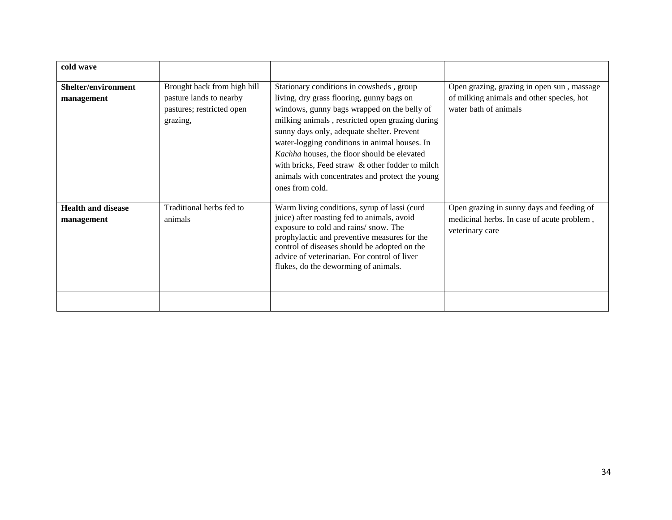| cold wave                               |                                                                                                 |                                                                                                                                                                                                                                                                                                                                                                                                                                                                |                                                                                                                  |
|-----------------------------------------|-------------------------------------------------------------------------------------------------|----------------------------------------------------------------------------------------------------------------------------------------------------------------------------------------------------------------------------------------------------------------------------------------------------------------------------------------------------------------------------------------------------------------------------------------------------------------|------------------------------------------------------------------------------------------------------------------|
| Shelter/environment<br>management       | Brought back from high hill<br>pasture lands to nearby<br>pastures; restricted open<br>grazing, | Stationary conditions in cowsheds, group<br>living, dry grass flooring, gunny bags on<br>windows, gunny bags wrapped on the belly of<br>milking animals, restricted open grazing during<br>sunny days only, adequate shelter. Prevent<br>water-logging conditions in animal houses. In<br>Kachha houses, the floor should be elevated<br>with bricks, Feed straw & other fodder to milch<br>animals with concentrates and protect the young<br>ones from cold. | Open grazing, grazing in open sun, massage<br>of milking animals and other species, hot<br>water bath of animals |
| <b>Health and disease</b><br>management | Traditional herbs fed to<br>animals                                                             | Warm living conditions, syrup of lassi (curd<br>juice) after roasting fed to animals, avoid<br>exposure to cold and rains/snow. The<br>prophylactic and preventive measures for the<br>control of diseases should be adopted on the<br>advice of veterinarian. For control of liver<br>flukes, do the deworming of animals.                                                                                                                                    | Open grazing in sunny days and feeding of<br>medicinal herbs. In case of acute problem,<br>veterinary care       |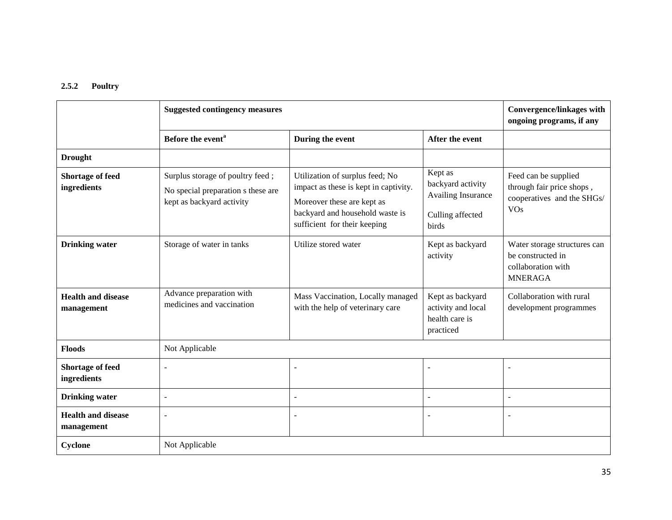# **2.5.2 Poultry**

|                                         | <b>Suggested contingency measures</b>                                                               |                                                                                                                                                                           |                                                                                               | <b>Convergence/linkages with</b><br>ongoing programs, if any                                  |
|-----------------------------------------|-----------------------------------------------------------------------------------------------------|---------------------------------------------------------------------------------------------------------------------------------------------------------------------------|-----------------------------------------------------------------------------------------------|-----------------------------------------------------------------------------------------------|
|                                         | Before the event <sup>a</sup>                                                                       | During the event                                                                                                                                                          | After the event                                                                               |                                                                                               |
| <b>Drought</b>                          |                                                                                                     |                                                                                                                                                                           |                                                                                               |                                                                                               |
| <b>Shortage of feed</b><br>ingredients  | Surplus storage of poultry feed;<br>No special preparation s these are<br>kept as backyard activity | Utilization of surplus feed; No<br>impact as these is kept in captivity.<br>Moreover these are kept as<br>backyard and household waste is<br>sufficient for their keeping | Kept as<br>backyard activity<br><b>Availing Insurance</b><br>Culling affected<br><b>birds</b> | Feed can be supplied<br>through fair price shops,<br>cooperatives and the SHGs/<br><b>VOs</b> |
| <b>Drinking</b> water                   | Storage of water in tanks                                                                           | Utilize stored water                                                                                                                                                      | Kept as backyard<br>activity                                                                  | Water storage structures can<br>be constructed in<br>collaboration with<br><b>MNERAGA</b>     |
| <b>Health and disease</b><br>management | Advance preparation with<br>medicines and vaccination                                               | Mass Vaccination, Locally managed<br>with the help of veterinary care                                                                                                     | Kept as backyard<br>activity and local<br>health care is<br>practiced                         | Collaboration with rural<br>development programmes                                            |
| <b>Floods</b>                           | Not Applicable                                                                                      |                                                                                                                                                                           |                                                                                               |                                                                                               |
| <b>Shortage of feed</b><br>ingredients  | $\sim$                                                                                              | $\blacksquare$                                                                                                                                                            | $\overline{\phantom{a}}$                                                                      | ÷.                                                                                            |
| <b>Drinking</b> water                   | $\overline{a}$                                                                                      | $\blacksquare$                                                                                                                                                            | $\overline{\phantom{a}}$                                                                      | $\overline{\phantom{a}}$                                                                      |
| <b>Health and disease</b><br>management | $\overline{a}$                                                                                      | ÷                                                                                                                                                                         | ÷                                                                                             |                                                                                               |
| Cyclone                                 | Not Applicable                                                                                      |                                                                                                                                                                           |                                                                                               |                                                                                               |